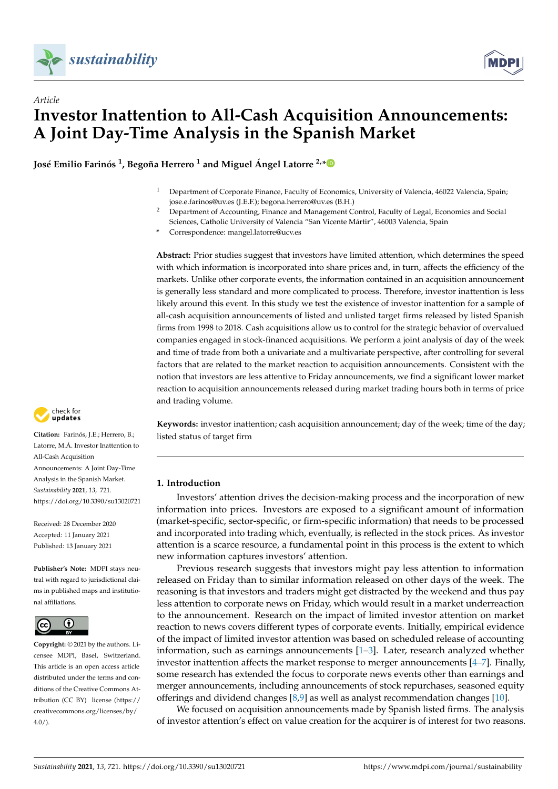

# *Article* **Investor Inattention to All-Cash Acquisition Announcements: A Joint Day-Time Analysis in the Spanish Market**

**José Emilio Farinós 1 , Begoña Herrero <sup>1</sup> and Miguel Ángel Latorre 2,[\\*](https://orcid.org/0000-0003-0748-520X)**

- <sup>1</sup> Department of Corporate Finance, Faculty of Economics, University of Valencia, 46022 Valencia, Spain; jose.e.farinos@uv.es (J.E.F.); begona.herrero@uv.es (B.H.)
- <sup>2</sup> Department of Accounting, Finance and Management Control, Faculty of Legal, Economics and Social Sciences, Catholic University of Valencia "San Vicente Mártir", 46003 Valencia, Spain
- **\*** Correspondence: mangel.latorre@ucv.es

**Abstract:** Prior studies suggest that investors have limited attention, which determines the speed with which information is incorporated into share prices and, in turn, affects the efficiency of the markets. Unlike other corporate events, the information contained in an acquisition announcement is generally less standard and more complicated to process. Therefore, investor inattention is less likely around this event. In this study we test the existence of investor inattention for a sample of all-cash acquisition announcements of listed and unlisted target firms released by listed Spanish firms from 1998 to 2018. Cash acquisitions allow us to control for the strategic behavior of overvalued companies engaged in stock-financed acquisitions. We perform a joint analysis of day of the week and time of trade from both a univariate and a multivariate perspective, after controlling for several factors that are related to the market reaction to acquisition announcements. Consistent with the notion that investors are less attentive to Friday announcements, we find a significant lower market reaction to acquisition announcements released during market trading hours both in terms of price and trading volume.

check for **-**

**Citation:** Farinós, J.E.; Herrero, B.; Latorre, M.Á. Investor Inattention to All-Cash Acquisition Announcements: A Joint Day-Time Analysis in the Spanish Market. *Sustainability* **2021**, *13*, 721. <https://doi.org/10.3390/su13020721>

Received: 28 December 2020 Accepted: 11 January 2021 Published: 13 January 2021

**Publisher's Note:** MDPI stays neutral with regard to jurisdictional claims in published maps and institutional affiliations.



**Copyright:** © 2021 by the authors. Licensee MDPI, Basel, Switzerland. This article is an open access article distributed under the terms and conditions of the Creative Commons Attribution (CC BY) license [\(https://](https://creativecommons.org/licenses/by/4.0/) [creativecommons.org/licenses/by/](https://creativecommons.org/licenses/by/4.0/) [4.0/\)](https://creativecommons.org/licenses/by/4.0/).

**Keywords:** investor inattention; cash acquisition announcement; day of the week; time of the day; listed status of target firm

# **1. Introduction**

Investors' attention drives the decision-making process and the incorporation of new information into prices. Investors are exposed to a significant amount of information (market-specific, sector-specific, or firm-specific information) that needs to be processed and incorporated into trading which, eventually, is reflected in the stock prices. As investor attention is a scarce resource, a fundamental point in this process is the extent to which new information captures investors' attention.

Previous research suggests that investors might pay less attention to information released on Friday than to similar information released on other days of the week. The reasoning is that investors and traders might get distracted by the weekend and thus pay less attention to corporate news on Friday, which would result in a market underreaction to the announcement. Research on the impact of limited investor attention on market reaction to news covers different types of corporate events. Initially, empirical evidence of the impact of limited investor attention was based on scheduled release of accounting information, such as earnings announcements [\[1](#page-20-0)[–3\]](#page-20-1). Later, research analyzed whether investor inattention affects the market response to merger announcements [\[4](#page-20-2)[–7\]](#page-20-3). Finally, some research has extended the focus to corporate news events other than earnings and merger announcements, including announcements of stock repurchases, seasoned equity offerings and dividend changes [\[8,](#page-20-4)[9\]](#page-20-5) as well as analyst recommendation changes [\[10\]](#page-20-6).

We focused on acquisition announcements made by Spanish listed firms. The analysis of investor attention's effect on value creation for the acquirer is of interest for two reasons.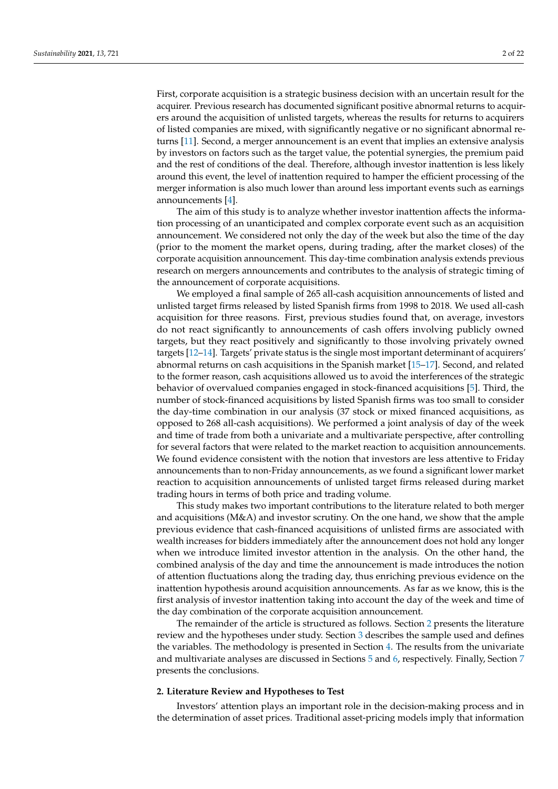First, corporate acquisition is a strategic business decision with an uncertain result for the acquirer. Previous research has documented significant positive abnormal returns to acquirers around the acquisition of unlisted targets, whereas the results for returns to acquirers of listed companies are mixed, with significantly negative or no significant abnormal returns [\[11\]](#page-20-7). Second, a merger announcement is an event that implies an extensive analysis by investors on factors such as the target value, the potential synergies, the premium paid and the rest of conditions of the deal. Therefore, although investor inattention is less likely around this event, the level of inattention required to hamper the efficient processing of the merger information is also much lower than around less important events such as earnings announcements [\[4\]](#page-20-2).

The aim of this study is to analyze whether investor inattention affects the information processing of an unanticipated and complex corporate event such as an acquisition announcement. We considered not only the day of the week but also the time of the day (prior to the moment the market opens, during trading, after the market closes) of the corporate acquisition announcement. This day-time combination analysis extends previous research on mergers announcements and contributes to the analysis of strategic timing of the announcement of corporate acquisitions.

We employed a final sample of 265 all-cash acquisition announcements of listed and unlisted target firms released by listed Spanish firms from 1998 to 2018. We used all-cash acquisition for three reasons. First, previous studies found that, on average, investors do not react significantly to announcements of cash offers involving publicly owned targets, but they react positively and significantly to those involving privately owned targets [\[12–](#page-20-8)[14\]](#page-20-9). Targets' private status is the single most important determinant of acquirers' abnormal returns on cash acquisitions in the Spanish market [\[15–](#page-20-10)[17\]](#page-20-11). Second, and related to the former reason, cash acquisitions allowed us to avoid the interferences of the strategic behavior of overvalued companies engaged in stock-financed acquisitions [\[5\]](#page-20-12). Third, the number of stock-financed acquisitions by listed Spanish firms was too small to consider the day-time combination in our analysis (37 stock or mixed financed acquisitions, as opposed to 268 all-cash acquisitions). We performed a joint analysis of day of the week and time of trade from both a univariate and a multivariate perspective, after controlling for several factors that were related to the market reaction to acquisition announcements. We found evidence consistent with the notion that investors are less attentive to Friday announcements than to non-Friday announcements, as we found a significant lower market reaction to acquisition announcements of unlisted target firms released during market trading hours in terms of both price and trading volume.

This study makes two important contributions to the literature related to both merger and acquisitions (M&A) and investor scrutiny. On the one hand, we show that the ample previous evidence that cash-financed acquisitions of unlisted firms are associated with wealth increases for bidders immediately after the announcement does not hold any longer when we introduce limited investor attention in the analysis. On the other hand, the combined analysis of the day and time the announcement is made introduces the notion of attention fluctuations along the trading day, thus enriching previous evidence on the inattention hypothesis around acquisition announcements. As far as we know, this is the first analysis of investor inattention taking into account the day of the week and time of the day combination of the corporate acquisition announcement.

The remainder of the article is structured as follows. Section [2](#page-1-0) presents the literature review and the hypotheses under study. Section [3](#page-4-0) describes the sample used and defines the variables. The methodology is presented in Section [4.](#page-10-0) The results from the univariate and multivariate analyses are discussed in Sections [5](#page-11-0) and [6,](#page-15-0) respectively. Finally, Section [7](#page-18-0) presents the conclusions.

## <span id="page-1-0"></span>**2. Literature Review and Hypotheses to Test**

Investors' attention plays an important role in the decision-making process and in the determination of asset prices. Traditional asset-pricing models imply that information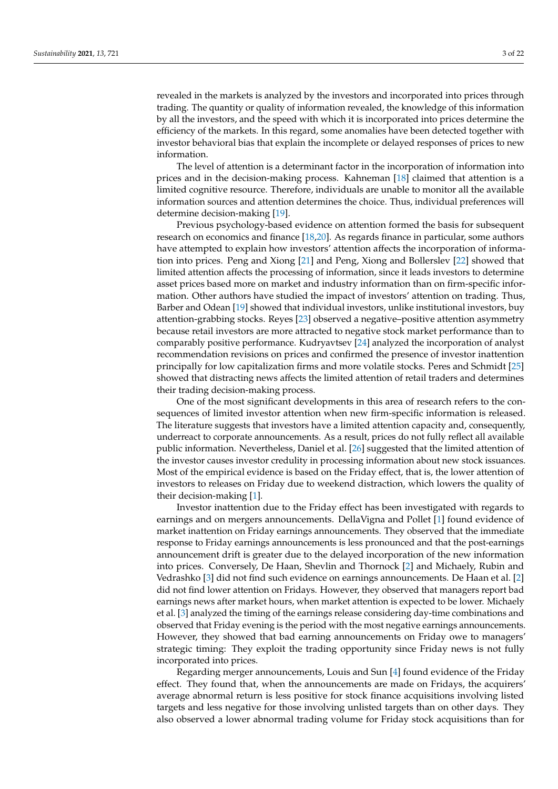revealed in the markets is analyzed by the investors and incorporated into prices through trading. The quantity or quality of information revealed, the knowledge of this information by all the investors, and the speed with which it is incorporated into prices determine the efficiency of the markets. In this regard, some anomalies have been detected together with investor behavioral bias that explain the incomplete or delayed responses of prices to new information.

The level of attention is a determinant factor in the incorporation of information into prices and in the decision-making process. Kahneman [\[18\]](#page-20-13) claimed that attention is a limited cognitive resource. Therefore, individuals are unable to monitor all the available information sources and attention determines the choice. Thus, individual preferences will determine decision-making [\[19\]](#page-20-14).

Previous psychology-based evidence on attention formed the basis for subsequent research on economics and finance [\[18,](#page-20-13)[20\]](#page-20-15). As regards finance in particular, some authors have attempted to explain how investors' attention affects the incorporation of information into prices. Peng and Xiong [\[21\]](#page-20-16) and Peng, Xiong and Bollerslev [\[22\]](#page-20-17) showed that limited attention affects the processing of information, since it leads investors to determine asset prices based more on market and industry information than on firm-specific information. Other authors have studied the impact of investors' attention on trading. Thus, Barber and Odean [\[19\]](#page-20-14) showed that individual investors, unlike institutional investors, buy attention-grabbing stocks. Reyes [\[23\]](#page-20-18) observed a negative–positive attention asymmetry because retail investors are more attracted to negative stock market performance than to comparably positive performance. Kudryavtsev [\[24\]](#page-20-19) analyzed the incorporation of analyst recommendation revisions on prices and confirmed the presence of investor inattention principally for low capitalization firms and more volatile stocks. Peres and Schmidt [\[25\]](#page-20-20) showed that distracting news affects the limited attention of retail traders and determines their trading decision-making process.

One of the most significant developments in this area of research refers to the consequences of limited investor attention when new firm-specific information is released. The literature suggests that investors have a limited attention capacity and, consequently, underreact to corporate announcements. As a result, prices do not fully reflect all available public information. Nevertheless, Daniel et al. [\[26\]](#page-20-21) suggested that the limited attention of the investor causes investor credulity in processing information about new stock issuances. Most of the empirical evidence is based on the Friday effect, that is, the lower attention of investors to releases on Friday due to weekend distraction, which lowers the quality of their decision-making [\[1\]](#page-20-0).

Investor inattention due to the Friday effect has been investigated with regards to earnings and on mergers announcements. DellaVigna and Pollet [\[1\]](#page-20-0) found evidence of market inattention on Friday earnings announcements. They observed that the immediate response to Friday earnings announcements is less pronounced and that the post-earnings announcement drift is greater due to the delayed incorporation of the new information into prices. Conversely, De Haan, Shevlin and Thornock [\[2\]](#page-20-22) and Michaely, Rubin and Vedrashko [\[3\]](#page-20-1) did not find such evidence on earnings announcements. De Haan et al. [\[2\]](#page-20-22) did not find lower attention on Fridays. However, they observed that managers report bad earnings news after market hours, when market attention is expected to be lower. Michaely et al. [\[3\]](#page-20-1) analyzed the timing of the earnings release considering day-time combinations and observed that Friday evening is the period with the most negative earnings announcements. However, they showed that bad earning announcements on Friday owe to managers' strategic timing: They exploit the trading opportunity since Friday news is not fully incorporated into prices.

Regarding merger announcements, Louis and Sun [\[4\]](#page-20-2) found evidence of the Friday effect. They found that, when the announcements are made on Fridays, the acquirers' average abnormal return is less positive for stock finance acquisitions involving listed targets and less negative for those involving unlisted targets than on other days. They also observed a lower abnormal trading volume for Friday stock acquisitions than for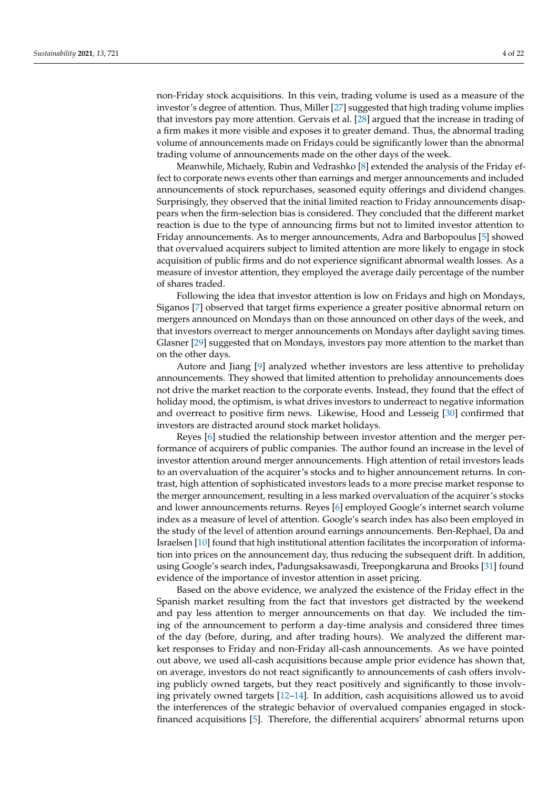non-Friday stock acquisitions. In this vein, trading volume is used as a measure of the investor's degree of attention. Thus, Miller [\[27\]](#page-20-23) suggested that high trading volume implies that investors pay more attention. Gervais et al. [\[28\]](#page-20-24) argued that the increase in trading of a firm makes it more visible and exposes it to greater demand. Thus, the abnormal trading volume of announcements made on Fridays could be significantly lower than the abnormal trading volume of announcements made on the other days of the week.

Meanwhile, Michaely, Rubin and Vedrashko [\[8\]](#page-20-4) extended the analysis of the Friday effect to corporate news events other than earnings and merger announcements and included announcements of stock repurchases, seasoned equity offerings and dividend changes. Surprisingly, they observed that the initial limited reaction to Friday announcements disappears when the firm-selection bias is considered. They concluded that the different market reaction is due to the type of announcing firms but not to limited investor attention to Friday announcements. As to merger announcements, Adra and Barbopoulus [\[5\]](#page-20-12) showed that overvalued acquirers subject to limited attention are more likely to engage in stock acquisition of public firms and do not experience significant abnormal wealth losses. As a measure of investor attention, they employed the average daily percentage of the number of shares traded.

Following the idea that investor attention is low on Fridays and high on Mondays, Siganos [\[7\]](#page-20-3) observed that target firms experience a greater positive abnormal return on mergers announced on Mondays than on those announced on other days of the week, and that investors overreact to merger announcements on Mondays after daylight saving times. Glasner [\[29\]](#page-20-25) suggested that on Mondays, investors pay more attention to the market than on the other days.

Autore and Jiang [\[9\]](#page-20-5) analyzed whether investors are less attentive to preholiday announcements. They showed that limited attention to preholiday announcements does not drive the market reaction to the corporate events. Instead, they found that the effect of holiday mood, the optimism, is what drives investors to underreact to negative information and overreact to positive firm news. Likewise, Hood and Lesseig [\[30\]](#page-20-26) confirmed that investors are distracted around stock market holidays.

Reyes [\[6\]](#page-20-27) studied the relationship between investor attention and the merger performance of acquirers of public companies. The author found an increase in the level of investor attention around merger announcements. High attention of retail investors leads to an overvaluation of the acquirer's stocks and to higher announcement returns. In contrast, high attention of sophisticated investors leads to a more precise market response to the merger announcement, resulting in a less marked overvaluation of the acquirer's stocks and lower announcements returns. Reyes [\[6\]](#page-20-27) employed Google's internet search volume index as a measure of level of attention. Google's search index has also been employed in the study of the level of attention around earnings announcements. Ben-Rephael, Da and Israelsen [\[10\]](#page-20-6) found that high institutional attention facilitates the incorporation of information into prices on the announcement day, thus reducing the subsequent drift. In addition, using Google's search index, Padungsaksawasdi, Treepongkaruna and Brooks [\[31\]](#page-20-28) found evidence of the importance of investor attention in asset pricing.

Based on the above evidence, we analyzed the existence of the Friday effect in the Spanish market resulting from the fact that investors get distracted by the weekend and pay less attention to merger announcements on that day. We included the timing of the announcement to perform a day-time analysis and considered three times of the day (before, during, and after trading hours). We analyzed the different market responses to Friday and non-Friday all-cash announcements. As we have pointed out above, we used all-cash acquisitions because ample prior evidence has shown that, on average, investors do not react significantly to announcements of cash offers involving publicly owned targets, but they react positively and significantly to those involving privately owned targets [\[12–](#page-20-8)[14\]](#page-20-9). In addition, cash acquisitions allowed us to avoid the interferences of the strategic behavior of overvalued companies engaged in stockfinanced acquisitions [\[5\]](#page-20-12). Therefore, the differential acquirers' abnormal returns upon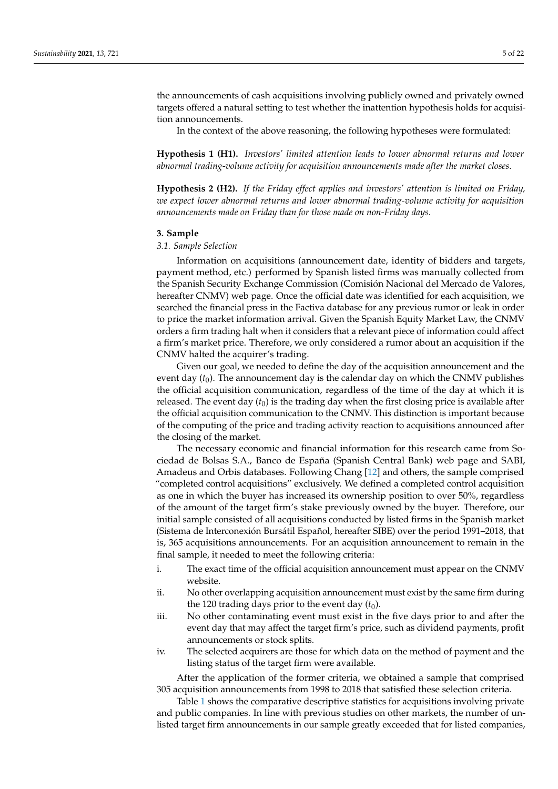the announcements of cash acquisitions involving publicly owned and privately owned targets offered a natural setting to test whether the inattention hypothesis holds for acquisition announcements.

In the context of the above reasoning, the following hypotheses were formulated:

**Hypothesis 1 (H1).** *Investors' limited attention leads to lower abnormal returns and lower abnormal trading-volume activity for acquisition announcements made after the market closes.*

**Hypothesis 2 (H2).** *If the Friday effect applies and investors' attention is limited on Friday, we expect lower abnormal returns and lower abnormal trading-volume activity for acquisition announcements made on Friday than for those made on non-Friday days.*

#### <span id="page-4-0"></span>**3. Sample**

## *3.1. Sample Selection*

Information on acquisitions (announcement date, identity of bidders and targets, payment method, etc.) performed by Spanish listed firms was manually collected from the Spanish Security Exchange Commission (Comisión Nacional del Mercado de Valores, hereafter CNMV) web page. Once the official date was identified for each acquisition, we searched the financial press in the Factiva database for any previous rumor or leak in order to price the market information arrival. Given the Spanish Equity Market Law, the CNMV orders a firm trading halt when it considers that a relevant piece of information could affect a firm's market price. Therefore, we only considered a rumor about an acquisition if the CNMV halted the acquirer's trading.

Given our goal, we needed to define the day of the acquisition announcement and the event day  $(t_0)$ . The announcement day is the calendar day on which the CNMV publishes the official acquisition communication, regardless of the time of the day at which it is released. The event day  $(t_0)$  is the trading day when the first closing price is available after the official acquisition communication to the CNMV. This distinction is important because of the computing of the price and trading activity reaction to acquisitions announced after the closing of the market.

The necessary economic and financial information for this research came from Sociedad de Bolsas S.A., Banco de España (Spanish Central Bank) web page and SABI, Amadeus and Orbis databases. Following Chang [\[12\]](#page-20-8) and others, the sample comprised "completed control acquisitions" exclusively. We defined a completed control acquisition as one in which the buyer has increased its ownership position to over 50%, regardless of the amount of the target firm's stake previously owned by the buyer. Therefore, our initial sample consisted of all acquisitions conducted by listed firms in the Spanish market (Sistema de Interconexión Bursátil Español, hereafter SIBE) over the period 1991–2018, that is, 365 acquisitions announcements. For an acquisition announcement to remain in the final sample, it needed to meet the following criteria:

- i. The exact time of the official acquisition announcement must appear on the CNMV website.
- ii. No other overlapping acquisition announcement must exist by the same firm during the 120 trading days prior to the event day  $(t_0)$ .
- iii. No other contaminating event must exist in the five days prior to and after the event day that may affect the target firm's price, such as dividend payments, profit announcements or stock splits.
- iv. The selected acquirers are those for which data on the method of payment and the listing status of the target firm were available.

After the application of the former criteria, we obtained a sample that comprised 305 acquisition announcements from 1998 to 2018 that satisfied these selection criteria.

Table [1](#page-5-0) shows the comparative descriptive statistics for acquisitions involving private and public companies. In line with previous studies on other markets, the number of unlisted target firm announcements in our sample greatly exceeded that for listed companies,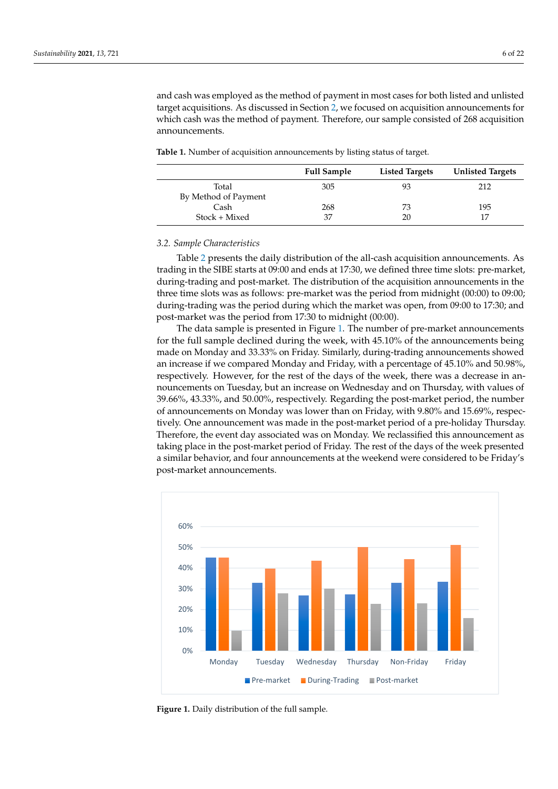and cash was employed as the method of payment in most cases for both listed and unlisted target acquisitions. As discussed in Section [2,](#page-1-0) we focused on acquisition announcements for which cash was the method of payment. Therefore, our sample consisted of 268 acquisition announcements.

<span id="page-5-0"></span>**Table 1.** Number of acquisition announcements by listing status of target.

|                      | <b>Full Sample</b> | <b>Listed Targets</b> | <b>Unlisted Targets</b> |
|----------------------|--------------------|-----------------------|-------------------------|
| Total                | 305                | 93                    | 212                     |
| By Method of Payment |                    |                       |                         |
| Cash                 | 268                | 73                    | 195                     |
| Stock + Mixed        | 37                 | 20                    | 17                      |

#### <span id="page-5-2"></span>*3.2. Sample Characteristics*

Table [2](#page-6-0) presents the daily distribution of the all-cash acquisition announcements. As trading in the SIBE starts at 09:00 and ends at 17:30, we defined three time slots: pre-market, during-trading and post-market. The distribution of the acquisition announcements in the three time slots was as follows: pre-market was the period from midnight (00:00) to 09:00; during-trading was the period during which the market was open, from 09:00 to 17:30; and post-market was the period from 17:30 to midnight (00:00).

The data sample is presented in Figure [1.](#page-5-1) The number of pre-market announcements for the full sample declined during the week, with 45.10% of the announcements being made on Monday and 33.33% on Friday. Similarly, during-trading announcements showed an increase if we compared Monday and Friday, with a percentage of 45.10% and 50.98%, respectively. However, for the rest of the days of the week, there was a decrease in announcements on Tuesday, but an increase on Wednesday and on Thursday, with values of 39.66%, 43.33%, and 50.00%, respectively. Regarding the post-market period, the number of announcements on Monday was lower than on Friday, with 9.80% and 15.69%, respectively. One announcement was made in the post-market period of a pre-holiday Thursday. Therefore, the event day associated was on Monday. We reclassified this announcement as taking place in the post-market period of Friday. The rest of the days of the week presented a similar behavior, and four announcements at the weekend were considered to be Friday's post-market announcements.

<span id="page-5-1"></span>

**Figure 1.** Daily distribution of the full sample. **Figure 1.** Daily distribution of the full sample.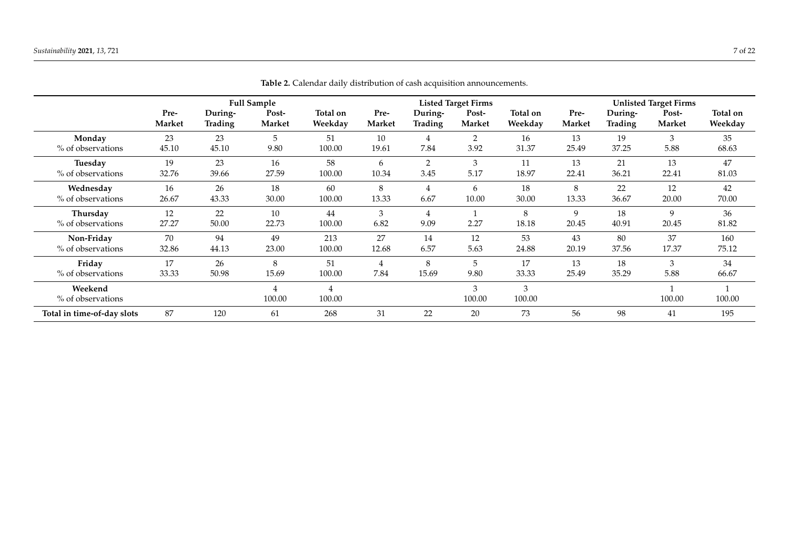<span id="page-6-0"></span>

|                              |        |         | <b>Full Sample</b>       |             |        |         | <b>Listed Target Firms</b> |             |        |                | <b>Unlisted Target Firms</b> |          |
|------------------------------|--------|---------|--------------------------|-------------|--------|---------|----------------------------|-------------|--------|----------------|------------------------------|----------|
|                              | Pre-   | During- | Post-                    | Total on    | Pre-   | During- | Post-                      | Total on    | Pre-   | During-        | Post-                        | Total on |
|                              | Market | Trading | Market                   | Weekday     | Market | Trading | Market                     | Weekday     | Market | <b>Trading</b> | Market                       | Weekday  |
| Monday                       | 23     | 23      | 5                        | 51          | 10     | 4       | 2                          | 16          | 13     | 19             | 3                            | 35       |
| % of observations            | 45.10  | 45.10   | 9.80                     | 100.00      | 19.61  | 7.84    | 3.92                       | 31.37       | 25.49  | 37.25          | 5.88                         | 68.63    |
| Tuesday                      | 19     | 23      | 16                       | 58          | 6      | 2       | 3                          | 11          | 13     | 21             | 13                           | 47       |
| % of observations            | 32.76  | 39.66   | 27.59                    | 100.00      | 10.34  | 3.45    | 5.17                       | 18.97       | 22.41  | 36.21          | 22.41                        | 81.03    |
| Wednesday                    | 16     | 26      | 18                       | 60          | 8      | 4       | 6                          | 18          | 8      | 22             | 12                           | 42       |
| % of observations            | 26.67  | 43.33   | 30.00                    | 100.00      | 13.33  | 6.67    | 10.00                      | 30.00       | 13.33  | 36.67          | 20.00                        | 70.00    |
| Thursday                     | 12     | 22      | 10                       | 44          | 3      | 4       | 2.27                       | 8           | 9      | 18             | 9                            | 36       |
| % of observations            | 27.27  | 50.00   | 22.73                    | 100.00      | 6.82   | 9.09    |                            | 18.18       | 20.45  | 40.91          | 20.45                        | 81.82    |
| Non-Friday                   | 70     | 94      | 49                       | 213         | 27     | 14      | 12                         | 53          | 43     | 80             | 37                           | 160      |
| % of observations            | 32.86  | 44.13   | 23.00                    | 100.00      | 12.68  | 6.57    | 5.63                       | 24.88       | 20.19  | 37.56          | 17.37                        | 75.12    |
| Friday                       | 17     | 26      | 8                        | 51          | 4      | 8       | 5                          | 17          | 13     | 18             | 3                            | 34       |
| % of observations            | 33.33  | 50.98   | 15.69                    | 100.00      | 7.84   | 15.69   | 9.80                       | 33.33       | 25.49  | 35.29          | 5.88                         | 66.67    |
| Weekend<br>% of observations |        |         | $\overline{4}$<br>100.00 | 4<br>100.00 |        |         | 3<br>100.00                | 3<br>100.00 |        |                | 100.00                       | 100.00   |
| Total in time-of-day slots   | 87     | 120     | 61                       | 268         | 31     | 22      | 20                         | 73          | 56     | 98             | 41                           | 195      |

**Table 2.** Calendar daily distribution of cash acquisition announcements.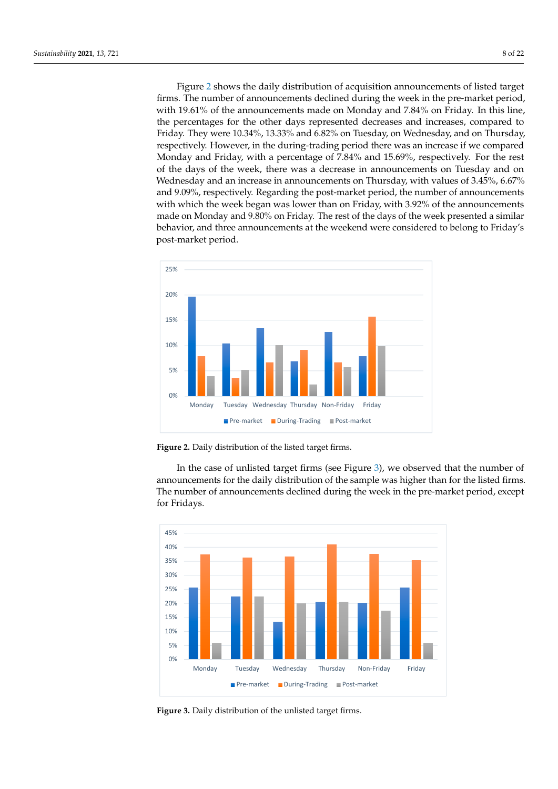Figure [2](#page-7-0) shows the daily distribution of acquisition announcements of listed target firms. The number of announcements declined during the week in the pre-market period, with 19.61% of the announcements made on Monday and  $7.84\%$  on Friday. In this line, the percentages for the other days represented decreases and increases, compared to Friday. They were 10.34%, 13.33% and 6.82% on Tuesday, on Wednesday, and on Thursday, respectively. However, in the during-trading period there was an increase if we compared Monday and Friday, with a percentage of 7.84% and 15.69%, respectively. For the rest of the days of the week, there was a decrease in announcements on Tuesday and on Let the thigh of the word, there will a noncements on Thursday, with values of 3.45%, 6.67% In and 9.09%, respectively. Regarding the post-market period, the number of announcements and 9.09%, respectively. Regarding the post-market period, the number of announcements with which the week began was lower than on Friday, with 3.92% of the announcements  $\,$ made on Monday and 9.80% on Friday. The rest of the days of the week presented a similar behavior, and three announcements at the weekend were considered to belong to Friday's post-market period. and 9.09%, respectively. Regarding the post-market period, the number of ann post-market period.

<span id="page-7-0"></span>

Figure 2. Daily distribution of the listed target firms.

In the case of unlisted target firms (see Figure  $3$ ), we observed that the number of announcements for the daily distribution of the sample was higher than for the listed firms. The number of announcements declined during the week in the pre-market period, except for Fridays.  $\sigma$ respectively. Finally, there was one announcement at the weekend, which was considered was considered was considered was considered was considered was considered was considered was considered was considered was consid

<span id="page-7-1"></span>

**Figure 3.** Daily distribution of the unlisted target firms. **Figure 3.** Daily distribution of the unlisted target firms.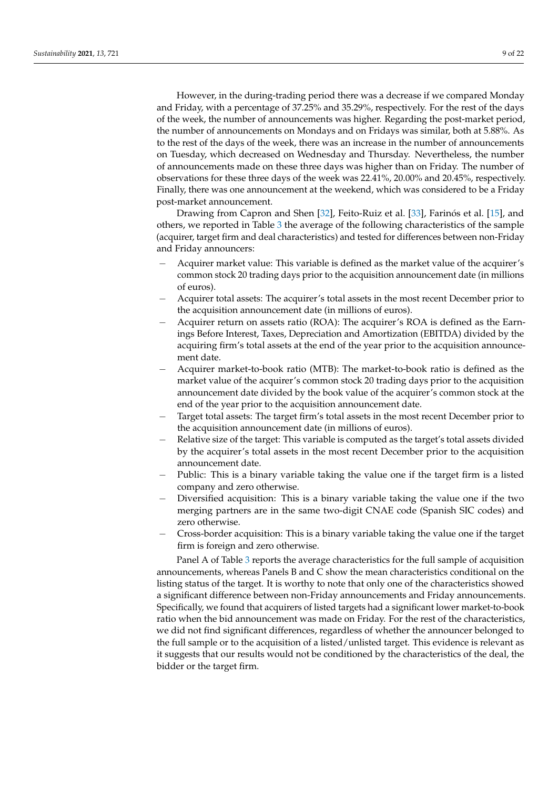However, in the during-trading period there was a decrease if we compared Monday and Friday, with a percentage of 37.25% and 35.29%, respectively. For the rest of the days of the week, the number of announcements was higher. Regarding the post-market period, the number of announcements on Mondays and on Fridays was similar, both at 5.88%. As to the rest of the days of the week, there was an increase in the number of announcements on Tuesday, which decreased on Wednesday and Thursday. Nevertheless, the number of announcements made on these three days was higher than on Friday. The number of observations for these three days of the week was 22.41%, 20.00% and 20.45%, respectively. Finally, there was one announcement at the weekend, which was considered to be a Friday post-market announcement.

Drawing from Capron and Shen [\[32\]](#page-20-29), Feito-Ruiz et al. [\[33\]](#page-20-30), Farinós et al. [\[15\]](#page-20-10), and others, we reported in Table [3](#page-9-0) the average of the following characteristics of the sample (acquirer, target firm and deal characteristics) and tested for differences between non-Friday and Friday announcers:

- − Acquirer market value: This variable is defined as the market value of the acquirer's common stock 20 trading days prior to the acquisition announcement date (in millions of euros).
- − Acquirer total assets: The acquirer's total assets in the most recent December prior to the acquisition announcement date (in millions of euros).
- − Acquirer return on assets ratio (ROA): The acquirer's ROA is defined as the Earnings Before Interest, Taxes, Depreciation and Amortization (EBITDA) divided by the acquiring firm's total assets at the end of the year prior to the acquisition announcement date.
- − Acquirer market-to-book ratio (MTB): The market-to-book ratio is defined as the market value of the acquirer's common stock 20 trading days prior to the acquisition announcement date divided by the book value of the acquirer's common stock at the end of the year prior to the acquisition announcement date.
- Target total assets: The target firm's total assets in the most recent December prior to the acquisition announcement date (in millions of euros).
- Relative size of the target: This variable is computed as the target's total assets divided by the acquirer's total assets in the most recent December prior to the acquisition announcement date.
- Public: This is a binary variable taking the value one if the target firm is a listed company and zero otherwise.
- − Diversified acquisition: This is a binary variable taking the value one if the two merging partners are in the same two-digit CNAE code (Spanish SIC codes) and zero otherwise.
- − Cross-border acquisition: This is a binary variable taking the value one if the target firm is foreign and zero otherwise.

Panel A of Table [3](#page-9-0) reports the average characteristics for the full sample of acquisition announcements, whereas Panels B and C show the mean characteristics conditional on the listing status of the target. It is worthy to note that only one of the characteristics showed a significant difference between non-Friday announcements and Friday announcements. Specifically, we found that acquirers of listed targets had a significant lower market-to-book ratio when the bid announcement was made on Friday. For the rest of the characteristics, we did not find significant differences, regardless of whether the announcer belonged to the full sample or to the acquisition of a listed/unlisted target. This evidence is relevant as it suggests that our results would not be conditioned by the characteristics of the deal, the bidder or the target firm.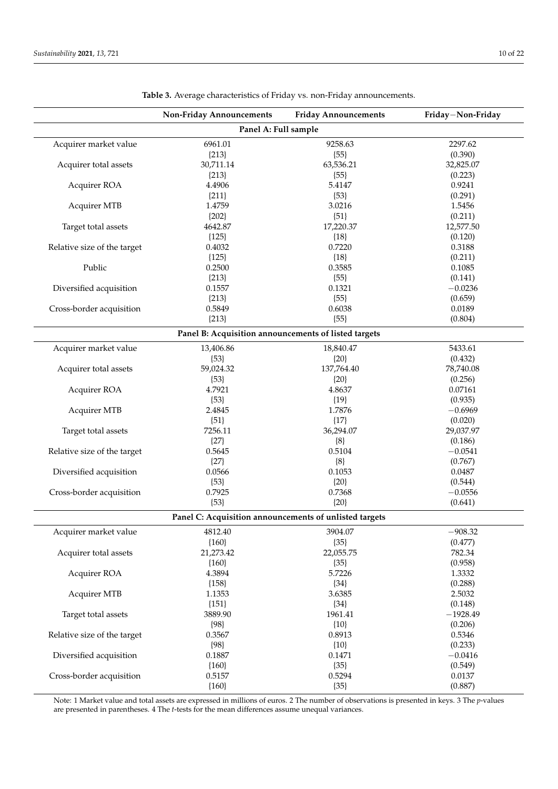<span id="page-9-0"></span>

|                             | <b>Non-Friday Announcements</b>                        | <b>Friday Announcements</b> | Friday-Non-Friday |  |  |  |  |  |
|-----------------------------|--------------------------------------------------------|-----------------------------|-------------------|--|--|--|--|--|
|                             | Panel A: Full sample                                   |                             |                   |  |  |  |  |  |
| Acquirer market value       | 6961.01                                                | 9258.63                     | 2297.62           |  |  |  |  |  |
|                             | ${213}$                                                | ${55}$                      | (0.390)           |  |  |  |  |  |
| Acquirer total assets       | 30,711.14                                              | 63,536.21                   | 32,825.07         |  |  |  |  |  |
|                             | ${213}$                                                | ${55}$                      | (0.223)           |  |  |  |  |  |
| Acquirer ROA                | 4.4906                                                 | 5.4147                      | 0.9241            |  |  |  |  |  |
|                             | ${211}$                                                | ${53}$                      | (0.291)           |  |  |  |  |  |
| <b>Acquirer MTB</b>         | 1.4759                                                 | 3.0216                      | 1.5456            |  |  |  |  |  |
|                             | ${202}$                                                | ${51}$                      | (0.211)           |  |  |  |  |  |
| Target total assets         | 4642.87                                                | 17,220.37                   | 12,577.50         |  |  |  |  |  |
|                             | ${125}$                                                | ${18}$                      | (0.120)           |  |  |  |  |  |
| Relative size of the target | 0.4032                                                 | 0.7220                      | 0.3188            |  |  |  |  |  |
|                             | ${125}$                                                | ${18}$                      | (0.211)           |  |  |  |  |  |
| Public                      | 0.2500                                                 | 0.3585                      | 0.1085            |  |  |  |  |  |
|                             | ${213}$                                                | ${55}$                      | (0.141)           |  |  |  |  |  |
| Diversified acquisition     | 0.1557                                                 | 0.1321                      | $-0.0236$         |  |  |  |  |  |
|                             | ${213}$                                                | ${55}$                      | (0.659)           |  |  |  |  |  |
| Cross-border acquisition    | 0.5849                                                 | 0.6038                      | 0.0189            |  |  |  |  |  |
|                             | ${213}$                                                | ${55}$                      | (0.804)           |  |  |  |  |  |
|                             |                                                        |                             |                   |  |  |  |  |  |
|                             | Panel B: Acquisition announcements of listed targets   |                             |                   |  |  |  |  |  |
| Acquirer market value       | 13,406.86                                              | 18,840.47                   | 5433.61           |  |  |  |  |  |
|                             | ${53}$                                                 | ${20}$                      | (0.432)           |  |  |  |  |  |
| Acquirer total assets       | 59,024.32                                              | 137,764.40                  | 78,740.08         |  |  |  |  |  |
|                             | ${53}$                                                 | ${20}$                      | (0.256)           |  |  |  |  |  |
| Acquirer ROA                | 4.7921                                                 | 4.8637                      | 0.07161           |  |  |  |  |  |
|                             | ${53}$                                                 | ${19}$                      | (0.935)           |  |  |  |  |  |
| <b>Acquirer MTB</b>         | 2.4845                                                 | 1.7876                      | $-0.6969$         |  |  |  |  |  |
|                             | ${51}$                                                 | ${17}$                      | (0.020)           |  |  |  |  |  |
| Target total assets         | 7256.11                                                | 36,294.07                   | 29,037.97         |  |  |  |  |  |
|                             | ${27}$                                                 | ${8}$                       | (0.186)           |  |  |  |  |  |
| Relative size of the target | 0.5645                                                 | 0.5104                      | $-0.0541$         |  |  |  |  |  |
|                             | ${27}$                                                 | ${8}$                       | (0.767)           |  |  |  |  |  |
| Diversified acquisition     | 0.0566                                                 | 0.1053                      | 0.0487            |  |  |  |  |  |
|                             | ${53}$                                                 | ${20}$                      | (0.544)           |  |  |  |  |  |
| Cross-border acquisition    | 0.7925                                                 | 0.7368                      | $-0.0556$         |  |  |  |  |  |
|                             | ${53}$                                                 | ${20}$                      | (0.641)           |  |  |  |  |  |
|                             | Panel C: Acquisition announcements of unlisted targets |                             |                   |  |  |  |  |  |
| Acquirer market value       | 4812.40                                                | 3904.07                     | $-908.32$         |  |  |  |  |  |
|                             | ${160}$                                                | ${35}$                      | (0.477)           |  |  |  |  |  |
| Acquirer total assets       | 21,273.42                                              | 22,055.75                   | 782.34            |  |  |  |  |  |
|                             | ${160}$                                                | ${35}$                      | (0.958)           |  |  |  |  |  |
| Acquirer ROA                | 4.3894                                                 | 5.7226                      | 1.3332            |  |  |  |  |  |
|                             | ${158}$                                                | ${34}$                      | (0.288)           |  |  |  |  |  |
| <b>Acquirer MTB</b>         | 1.1353                                                 | 3.6385                      | 2.5032            |  |  |  |  |  |
|                             | ${151}$                                                | ${34}$                      | (0.148)           |  |  |  |  |  |
| Target total assets         | 3889.90                                                | 1961.41                     | $-1928.49$        |  |  |  |  |  |
|                             | ${98}$                                                 | ${10}$                      | (0.206)           |  |  |  |  |  |
| Relative size of the target | 0.3567                                                 | 0.8913                      | 0.5346            |  |  |  |  |  |
|                             | ${98}$                                                 | ${10}$                      | (0.233)           |  |  |  |  |  |
| Diversified acquisition     | 0.1887                                                 | 0.1471                      | $-0.0416$         |  |  |  |  |  |
|                             | ${160}$                                                | ${35}$                      | (0.549)           |  |  |  |  |  |
| Cross-border acquisition    | 0.5157                                                 | 0.5294                      | 0.0137            |  |  |  |  |  |
|                             | ${160}$                                                | ${35}$                      | (0.887)           |  |  |  |  |  |
|                             |                                                        |                             |                   |  |  |  |  |  |

**Table 3.** Average characteristics of Friday vs. non-Friday announcements.

Note: 1 Market value and total assets are expressed in millions of euros. 2 The number of observations is presented in keys. 3 The *p*-values are presented in parentheses. 4 The *t*-tests for the mean differences assume unequal variances.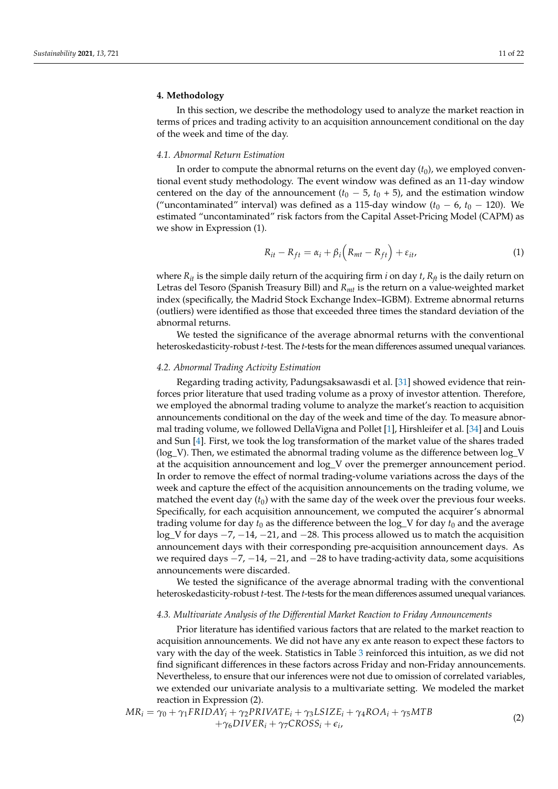# <span id="page-10-0"></span>**4. Methodology**

In this section, we describe the methodology used to analyze the market reaction in terms of prices and trading activity to an acquisition announcement conditional on the day of the week and time of the day.

## *4.1. Abnormal Return Estimation*

In order to compute the abnormal returns on the event day  $(t_0)$ , we employed conventional event study methodology. The event window was defined as an 11-day window centered on the day of the announcement  $(t_0 - 5, t_0 + 5)$ , and the estimation window ("uncontaminated" interval) was defined as a 115-day window  $(t_0 - 6, t_0 - 120)$ . We estimated "uncontaminated" risk factors from the Capital Asset-Pricing Model (CAPM) as we show in Expression (1).

$$
R_{it} - R_{ft} = \alpha_i + \beta_i \left( R_{mt} - R_{ft} \right) + \varepsilon_{it}, \tag{1}
$$

where  $R_{it}$  is the simple daily return of the acquiring firm *i* on day *t*,  $R_f$  is the daily return on Letras del Tesoro (Spanish Treasury Bill) and *Rmt* is the return on a value-weighted market index (specifically, the Madrid Stock Exchange Index–IGBM). Extreme abnormal returns (outliers) were identified as those that exceeded three times the standard deviation of the abnormal returns.

We tested the significance of the average abnormal returns with the conventional heteroskedasticity-robust *t*-test. The *t*-tests for the mean differences assumed unequal variances.

#### *4.2. Abnormal Trading Activity Estimation*

Regarding trading activity, Padungsaksawasdi et al. [\[31\]](#page-20-28) showed evidence that reinforces prior literature that used trading volume as a proxy of investor attention. Therefore, we employed the abnormal trading volume to analyze the market's reaction to acquisition announcements conditional on the day of the week and time of the day. To measure abnormal trading volume, we followed DellaVigna and Pollet [\[1\]](#page-20-0), Hirshleifer et al. [\[34\]](#page-20-31) and Louis and Sun [\[4\]](#page-20-2). First, we took the log transformation of the market value of the shares traded (log\_V). Then, we estimated the abnormal trading volume as the difference between log\_V at the acquisition announcement and log\_V over the premerger announcement period. In order to remove the effect of normal trading-volume variations across the days of the week and capture the effect of the acquisition announcements on the trading volume, we matched the event day  $(t_0)$  with the same day of the week over the previous four weeks. Specifically, for each acquisition announcement, we computed the acquirer's abnormal trading volume for day  $t_0$  as the difference between the  $log_V$  for day  $t_0$  and the average log\_V for days −7, −14, −21, and −28. This process allowed us to match the acquisition announcement days with their corresponding pre-acquisition announcement days. As we required days  $-7$ ,  $-14$ ,  $-21$ , and  $-28$  to have trading-activity data, some acquisitions announcements were discarded.

We tested the significance of the average abnormal trading with the conventional heteroskedasticity-robust *t*-test. The *t*-tests for the mean differences assumed unequal variances.

#### *4.3. Multivariate Analysis of the Differential Market Reaction to Friday Announcements*

Prior literature has identified various factors that are related to the market reaction to acquisition announcements. We did not have any ex ante reason to expect these factors to vary with the day of the week. Statistics in Table [3](#page-9-0) reinforced this intuition, as we did not find significant differences in these factors across Friday and non-Friday announcements. Nevertheless, to ensure that our inferences were not due to omission of correlated variables, we extended our univariate analysis to a multivariate setting. We modeled the market reaction in Expression (2).

$$
MR_i = \gamma_0 + \gamma_1 FRIDAY_i + \gamma_2 PRIVATE_i + \gamma_3 LSIZE_i + \gamma_4 ROA_i + \gamma_5 MTB + \gamma_6 DIVER_i + \gamma_7 CROS_i + \epsilon_i,
$$
\n(2)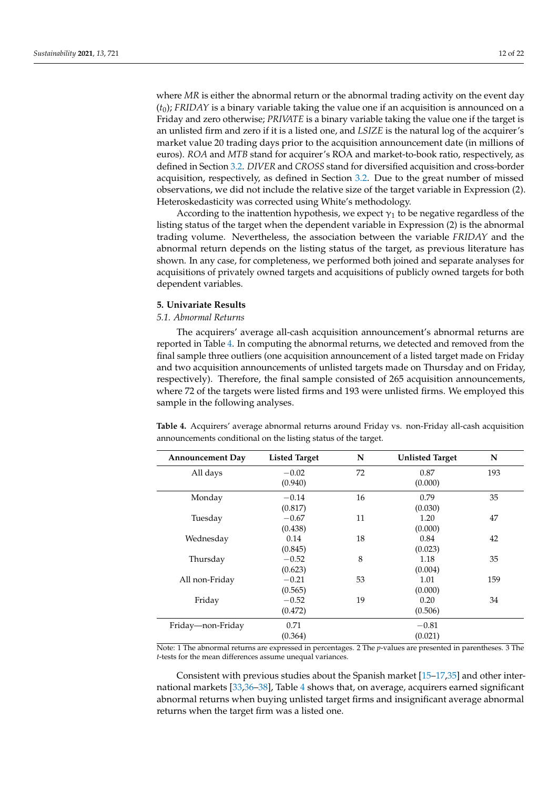where *MR* is either the abnormal return or the abnormal trading activity on the event day  $(t_0)$ ; *FRIDAY* is a binary variable taking the value one if an acquisition is announced on a Friday and zero otherwise; *PRIVATE* is a binary variable taking the value one if the target is an unlisted firm and zero if it is a listed one, and *LSIZE* is the natural log of the acquirer's market value 20 trading days prior to the acquisition announcement date (in millions of euros). *ROA* and *MTB* stand for acquirer's ROA and market-to-book ratio, respectively, as defined in Section [3.2.](#page-5-2) *DIVER* and *CROSS* stand for diversified acquisition and cross-border acquisition, respectively, as defined in Section [3.2.](#page-5-2) Due to the great number of missed observations, we did not include the relative size of the target variable in Expression (2). Heteroskedasticity was corrected using White's methodology.

According to the inattention hypothesis, we expect  $\gamma_1$  to be negative regardless of the listing status of the target when the dependent variable in Expression (2) is the abnormal trading volume. Nevertheless, the association between the variable *FRIDAY* and the abnormal return depends on the listing status of the target, as previous literature has shown. In any case, for completeness, we performed both joined and separate analyses for acquisitions of privately owned targets and acquisitions of publicly owned targets for both dependent variables.

## <span id="page-11-0"></span>**5. Univariate Results**

#### *5.1. Abnormal Returns*

The acquirers' average all-cash acquisition announcement's abnormal returns are reported in Table [4.](#page-11-1) In computing the abnormal returns, we detected and removed from the final sample three outliers (one acquisition announcement of a listed target made on Friday and two acquisition announcements of unlisted targets made on Thursday and on Friday, respectively). Therefore, the final sample consisted of 265 acquisition announcements, where 72 of the targets were listed firms and 193 were unlisted firms. We employed this sample in the following analyses.

| <b>Announcement Day</b> | <b>Listed Target</b> | N  | <b>Unlisted Target</b> | N   |
|-------------------------|----------------------|----|------------------------|-----|
| All days                | $-0.02$              | 72 | 0.87                   | 193 |
|                         | (0.940)              |    | (0.000)                |     |
| Monday                  | $-0.14$              | 16 | 0.79                   | 35  |
|                         | (0.817)              |    | (0.030)                |     |
| Tuesday                 | $-0.67$              | 11 | 1.20                   | 47  |
|                         | (0.438)              |    | (0.000)                |     |
| Wednesday               | 0.14                 | 18 | 0.84                   | 42  |
|                         | (0.845)              |    | (0.023)                |     |
| Thursday                | $-0.52$              | 8  | 1.18                   | 35  |
|                         | (0.623)              |    | (0.004)                |     |
| All non-Friday          | $-0.21$              | 53 | 1.01                   | 159 |
|                         | (0.565)              |    | (0.000)                |     |
| Friday                  | $-0.52$              | 19 | 0.20                   | 34  |
|                         | (0.472)              |    | (0.506)                |     |
| Friday-non-Friday       | 0.71                 |    | $-0.81$                |     |
|                         | (0.364)              |    | (0.021)                |     |

<span id="page-11-1"></span>**Table 4.** Acquirers' average abnormal returns around Friday vs. non-Friday all-cash acquisition announcements conditional on the listing status of the target.

Note: 1 The abnormal returns are expressed in percentages. 2 The *p*-values are presented in parentheses. 3 The *t*-tests for the mean differences assume unequal variances.

Consistent with previous studies about the Spanish market [\[15–](#page-20-10)[17](#page-20-11)[,35\]](#page-20-32) and other international markets [\[33](#page-20-30)[,36–](#page-21-0)[38\]](#page-21-1), Table [4](#page-11-1) shows that, on average, acquirers earned significant abnormal returns when buying unlisted target firms and insignificant average abnormal returns when the target firm was a listed one.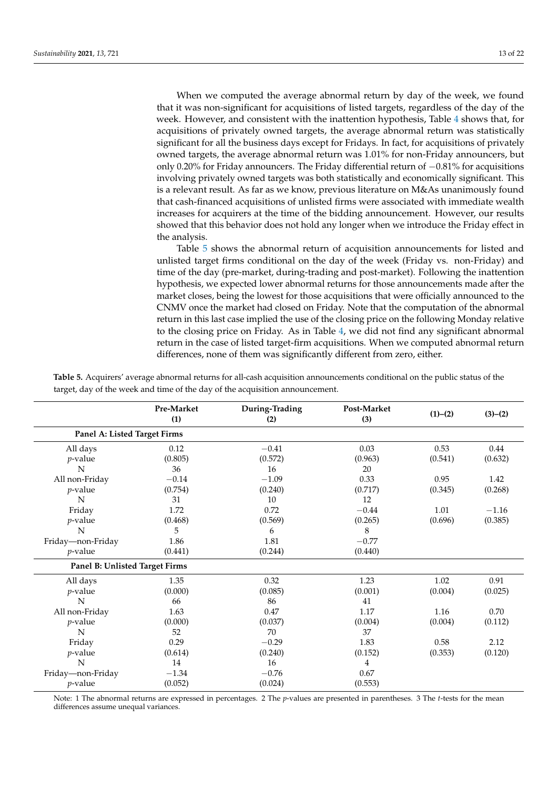When we computed the average abnormal return by day of the week, we found that it was non-significant for acquisitions of listed targets, regardless of the day of the week. However, and consistent with the inattention hypothesis, Table [4](#page-11-1) shows that, for acquisitions of privately owned targets, the average abnormal return was statistically significant for all the business days except for Fridays. In fact, for acquisitions of privately owned targets, the average abnormal return was 1.01% for non-Friday announcers, but only 0.20% for Friday announcers. The Friday differential return of −0.81% for acquisitions involving privately owned targets was both statistically and economically significant. This is a relevant result. As far as we know, previous literature on M&As unanimously found that cash-financed acquisitions of unlisted firms were associated with immediate wealth increases for acquirers at the time of the bidding announcement. However, our results showed that this behavior does not hold any longer when we introduce the Friday effect in the analysis.

Table [5](#page-12-0) shows the abnormal return of acquisition announcements for listed and unlisted target firms conditional on the day of the week (Friday vs. non-Friday) and time of the day (pre-market, during-trading and post-market). Following the inattention hypothesis, we expected lower abnormal returns for those announcements made after the market closes, being the lowest for those acquisitions that were officially announced to the CNMV once the market had closed on Friday. Note that the computation of the abnormal return in this last case implied the use of the closing price on the following Monday relative to the closing price on Friday. As in Table [4,](#page-11-1) we did not find any significant abnormal return in the case of listed target-firm acquisitions. When we computed abnormal return differences, none of them was significantly different from zero, either.

|                                | Pre-Market<br>(1) | During-Trading<br>(2) | Post-Market<br>(3) | (1)–(2) | $(3)-(2)$ |
|--------------------------------|-------------------|-----------------------|--------------------|---------|-----------|
| Panel A: Listed Target Firms   |                   |                       |                    |         |           |
| All days                       | 0.12              | $-0.41$               | 0.03               | 0.53    | 0.44      |
| $p$ -value                     | (0.805)           | (0.572)               | (0.963)            | (0.541) | (0.632)   |
| N                              | 36                | 16                    | 20                 |         |           |
| All non-Friday                 | $-0.14$           | $-1.09$               | 0.33               | 0.95    | 1.42      |
| $p$ -value                     | (0.754)           | (0.240)               | (0.717)            | (0.345) | (0.268)   |
| N                              | 31                | 10                    | 12                 |         |           |
| Friday                         | 1.72              | 0.72                  | $-0.44$            | 1.01    | $-1.16$   |
| $p$ -value                     | (0.468)           | (0.569)               | (0.265)            | (0.696) | (0.385)   |
| N                              | 5                 | 6                     | 8                  |         |           |
| Friday-non-Friday              | 1.86              | 1.81                  | $-0.77$            |         |           |
| $p$ -value                     | (0.441)           | (0.244)               | (0.440)            |         |           |
| Panel B: Unlisted Target Firms |                   |                       |                    |         |           |
| All days                       | 1.35              | 0.32                  | 1.23               | 1.02    | 0.91      |
| $p$ -value                     | (0.000)           | (0.085)               | (0.001)            | (0.004) | (0.025)   |
| N                              | 66                | 86                    | 41                 |         |           |
| All non-Friday                 | 1.63              | 0.47                  | 1.17               | 1.16    | 0.70      |
| $p$ -value                     | (0.000)           | (0.037)               | (0.004)            | (0.004) | (0.112)   |
| N                              | 52                | 70                    | 37                 |         |           |
| Friday                         | 0.29              | $-0.29$               | 1.83               | 0.58    | 2.12      |
| $p$ -value                     | (0.614)           | (0.240)               | (0.152)            | (0.353) | (0.120)   |
| N                              | 14                | 16                    | $\overline{4}$     |         |           |
| Friday—non-Friday              | $-1.34$           | $-0.76$               | 0.67               |         |           |
| $p$ -value                     | (0.052)           | (0.024)               | (0.553)            |         |           |

<span id="page-12-0"></span>**Table 5.** Acquirers' average abnormal returns for all-cash acquisition announcements conditional on the public status of the target, day of the week and time of the day of the acquisition announcement.

Note: 1 The abnormal returns are expressed in percentages. 2 The *p*-values are presented in parentheses. 3 The *t*-tests for the mean differences assume unequal variances.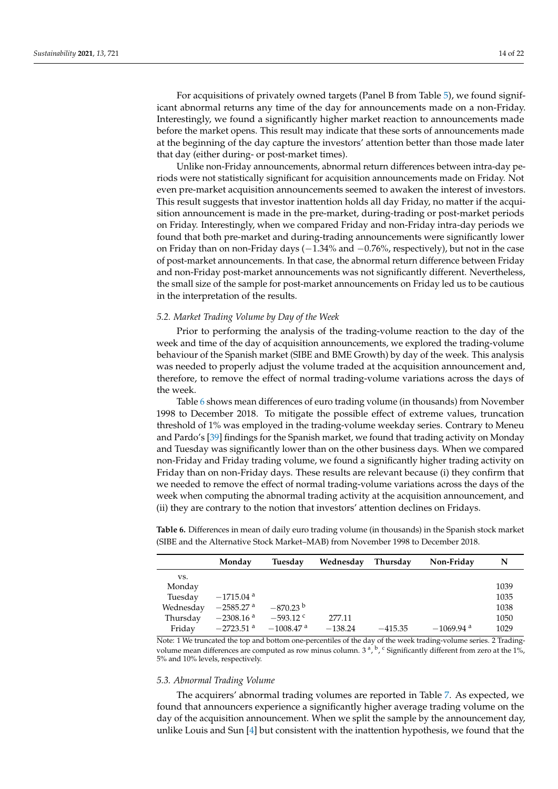For acquisitions of privately owned targets (Panel B from Table [5\)](#page-12-0), we found significant abnormal returns any time of the day for announcements made on a non-Friday. Interestingly, we found a significantly higher market reaction to announcements made before the market opens. This result may indicate that these sorts of announcements made at the beginning of the day capture the investors' attention better than those made later that day (either during- or post-market times).

Unlike non-Friday announcements, abnormal return differences between intra-day periods were not statistically significant for acquisition announcements made on Friday. Not even pre-market acquisition announcements seemed to awaken the interest of investors. This result suggests that investor inattention holds all day Friday, no matter if the acquisition announcement is made in the pre-market, during-trading or post-market periods on Friday. Interestingly, when we compared Friday and non-Friday intra-day periods we found that both pre-market and during-trading announcements were significantly lower on Friday than on non-Friday days ( $-1.34\%$  and  $-0.76\%$ , respectively), but not in the case of post-market announcements. In that case, the abnormal return difference between Friday and non-Friday post-market announcements was not significantly different. Nevertheless, the small size of the sample for post-market announcements on Friday led us to be cautious in the interpretation of the results.

#### *5.2. Market Trading Volume by Day of the Week*

Prior to performing the analysis of the trading-volume reaction to the day of the week and time of the day of acquisition announcements, we explored the trading-volume behaviour of the Spanish market (SIBE and BME Growth) by day of the week. This analysis was needed to properly adjust the volume traded at the acquisition announcement and, therefore, to remove the effect of normal trading-volume variations across the days of the week.

Table [6](#page-13-0) shows mean differences of euro trading volume (in thousands) from November 1998 to December 2018. To mitigate the possible effect of extreme values, truncation threshold of 1% was employed in the trading-volume weekday series. Contrary to Meneu and Pardo's [\[39\]](#page-21-2) findings for the Spanish market, we found that trading activity on Monday and Tuesday was significantly lower than on the other business days. When we compared non-Friday and Friday trading volume, we found a significantly higher trading activity on Friday than on non-Friday days. These results are relevant because (i) they confirm that we needed to remove the effect of normal trading-volume variations across the days of the week when computing the abnormal trading activity at the acquisition announcement, and (ii) they are contrary to the notion that investors' attention declines on Fridays.

<span id="page-13-0"></span>**Table 6.** Differences in mean of daily euro trading volume (in thousands) in the Spanish stock market (SIBE and the Alternative Stock Market–MAB) from November 1998 to December 2018.

|           | Monday                  | Tuesday                 | Wednesday | Thursday  | Non-Friday              | N    |
|-----------|-------------------------|-------------------------|-----------|-----------|-------------------------|------|
| VS.       |                         |                         |           |           |                         |      |
| Monday    |                         |                         |           |           |                         | 1039 |
| Tuesday   | $-1715.04$ <sup>a</sup> |                         |           |           |                         | 1035 |
| Wednesday | $-2585.27$ a            | $-870.23$ b             |           |           |                         | 1038 |
| Thursday  | $-2308.16$ <sup>a</sup> | $-593.12$ c             | 277.11    |           |                         | 1050 |
| Friday    | $-2723.51$ <sup>a</sup> | $-1008.47$ <sup>a</sup> | $-138.24$ | $-415.35$ | $-1069.94$ <sup>a</sup> | 1029 |

Note: 1 We truncated the top and bottom one-percentiles of the day of the week trading-volume series. 2 Tradingvolume mean differences are computed as row minus column. 3<sup>a</sup>, <sup>b</sup>, <sup>c</sup> Significantly different from zero at the 1%, 5% and 10% levels, respectively.

# *5.3. Abnormal Trading Volume*

The acquirers' abnormal trading volumes are reported in Table [7.](#page-14-0) As expected, we found that announcers experience a significantly higher average trading volume on the day of the acquisition announcement. When we split the sample by the announcement day, unlike Louis and Sun [\[4\]](#page-20-2) but consistent with the inattention hypothesis, we found that the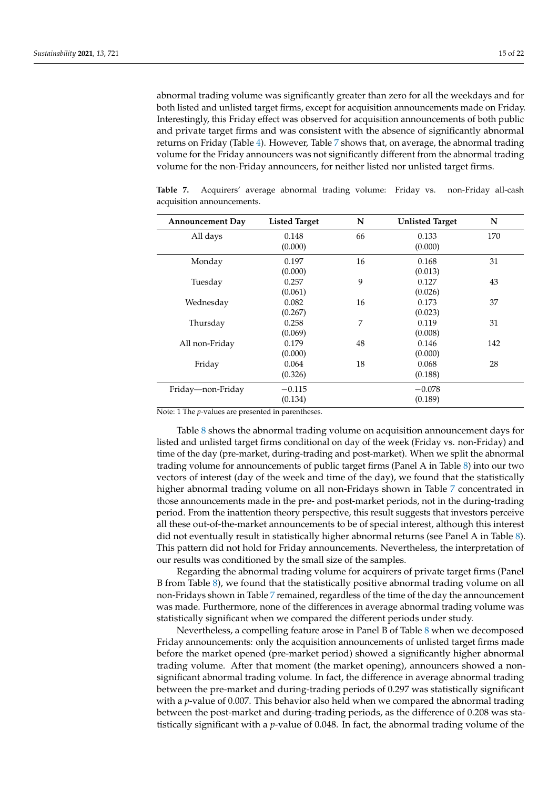abnormal trading volume was significantly greater than zero for all the weekdays and for both listed and unlisted target firms, except for acquisition announcements made on Friday. Interestingly, this Friday effect was observed for acquisition announcements of both public and private target firms and was consistent with the absence of significantly abnormal returns on Friday (Table [4\)](#page-11-1). However, Table [7](#page-14-0) shows that, on average, the abnormal trading volume for the Friday announcers was not significantly different from the abnormal trading volume for the non-Friday announcers, for neither listed nor unlisted target firms.

<span id="page-14-0"></span>**Table 7.** Acquirers' average abnormal trading volume: Friday vs. non-Friday all-cash acquisition announcements.

| <b>Announcement Day</b> | <b>Listed Target</b> | N  | <b>Unlisted Target</b> | N   |
|-------------------------|----------------------|----|------------------------|-----|
| All days                | 0.148                | 66 | 0.133                  | 170 |
|                         | (0.000)              |    | (0.000)                |     |
| Monday                  | 0.197                | 16 | 0.168                  | 31  |
|                         | (0.000)              |    | (0.013)                |     |
| Tuesday                 | 0.257                | 9  | 0.127                  | 43  |
|                         | (0.061)              |    | (0.026)                |     |
| Wednesday               | 0.082                | 16 | 0.173                  | 37  |
|                         | (0.267)              |    | (0.023)                |     |
| Thursday                | 0.258                | 7  | 0.119                  | 31  |
|                         | (0.069)              |    | (0.008)                |     |
| All non-Friday          | 0.179                | 48 | 0.146                  | 142 |
|                         | (0.000)              |    | (0.000)                |     |
| Friday                  | 0.064                | 18 | 0.068                  | 28  |
|                         | (0.326)              |    | (0.188)                |     |
| Friday—non-Friday       | $-0.115$             |    | $-0.078$               |     |
|                         | (0.134)              |    | (0.189)                |     |

Note: 1 The *p*-values are presented in parentheses.

Table [8](#page-15-1) shows the abnormal trading volume on acquisition announcement days for listed and unlisted target firms conditional on day of the week (Friday vs. non-Friday) and time of the day (pre-market, during-trading and post-market). When we split the abnormal trading volume for announcements of public target firms (Panel A in Table [8\)](#page-15-1) into our two vectors of interest (day of the week and time of the day), we found that the statistically higher abnormal trading volume on all non-Fridays shown in Table [7](#page-14-0) concentrated in those announcements made in the pre- and post-market periods, not in the during-trading period. From the inattention theory perspective, this result suggests that investors perceive all these out-of-the-market announcements to be of special interest, although this interest did not eventually result in statistically higher abnormal returns (see Panel A in Table [8\)](#page-15-1). This pattern did not hold for Friday announcements. Nevertheless, the interpretation of our results was conditioned by the small size of the samples.

Regarding the abnormal trading volume for acquirers of private target firms (Panel B from Table [8\)](#page-15-1), we found that the statistically positive abnormal trading volume on all non-Fridays shown in Table [7](#page-14-0) remained, regardless of the time of the day the announcement was made. Furthermore, none of the differences in average abnormal trading volume was statistically significant when we compared the different periods under study.

Nevertheless, a compelling feature arose in Panel B of Table [8](#page-15-1) when we decomposed Friday announcements: only the acquisition announcements of unlisted target firms made before the market opened (pre-market period) showed a significantly higher abnormal trading volume. After that moment (the market opening), announcers showed a nonsignificant abnormal trading volume. In fact, the difference in average abnormal trading between the pre-market and during-trading periods of 0.297 was statistically significant with a *p*-value of 0.007. This behavior also held when we compared the abnormal trading between the post-market and during-trading periods, as the difference of 0.208 was statistically significant with a *p*-value of 0.048. In fact, the abnormal trading volume of the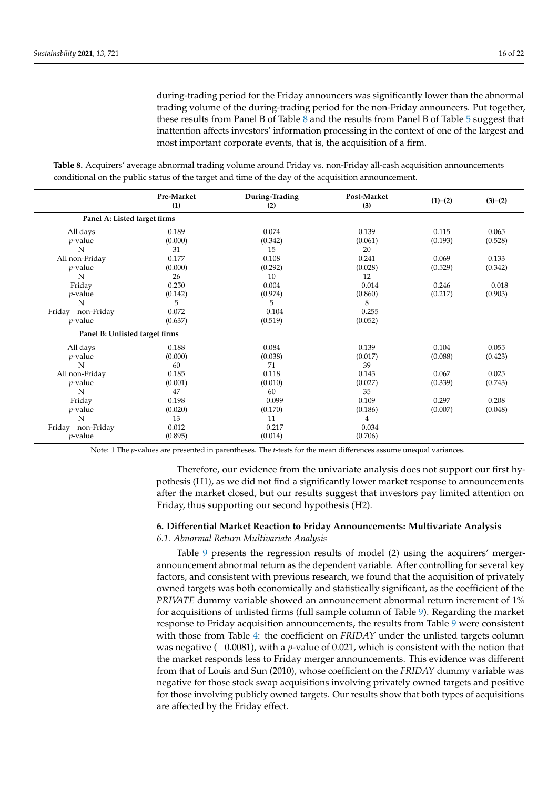during-trading period for the Friday announcers was significantly lower than the abnormal trading volume of the during-trading period for the non-Friday announcers. Put together, these results from Panel B of Table [8](#page-15-1) and the results from Panel B of Table [5](#page-12-0) suggest that inattention affects investors' information processing in the context of one of the largest and most important corporate events, that is, the acquisition of a firm.

<span id="page-15-1"></span>**Table 8.** Acquirers' average abnormal trading volume around Friday vs. non-Friday all-cash acquisition announcements conditional on the public status of the target and time of the day of the acquisition announcement.

|                                | Pre-Market<br>(1) | During-Trading<br>(2) | Post-Market<br>(3) | (1)–(2) | $(3)-(2)$ |
|--------------------------------|-------------------|-----------------------|--------------------|---------|-----------|
| Panel A: Listed target firms   |                   |                       |                    |         |           |
| All days                       | 0.189             | 0.074                 | 0.139              | 0.115   | 0.065     |
| $p$ -value                     | (0.000)           | (0.342)               | (0.061)            | (0.193) | (0.528)   |
| N                              | 31                | 15                    | 20                 |         |           |
| All non-Friday                 | 0.177             | 0.108                 | 0.241              | 0.069   | 0.133     |
| $p$ -value                     | (0.000)           | (0.292)               | (0.028)            | (0.529) | (0.342)   |
| N                              | 26                | 10                    | 12                 |         |           |
| Friday                         | 0.250             | 0.004                 | $-0.014$           | 0.246   | $-0.018$  |
| $p$ -value                     | (0.142)           | (0.974)               | (0.860)            | (0.217) | (0.903)   |
| N                              | 5                 | 5                     | 8                  |         |           |
| Friday-non-Friday              | 0.072             | $-0.104$              | $-0.255$           |         |           |
| $p$ -value                     | (0.637)           | (0.519)               | (0.052)            |         |           |
| Panel B: Unlisted target firms |                   |                       |                    |         |           |
| All days                       | 0.188             | 0.084                 | 0.139              | 0.104   | 0.055     |
| $p$ -value                     | (0.000)           | (0.038)               | (0.017)            | (0.088) | (0.423)   |
| N                              | 60                | 71                    | 39                 |         |           |
| All non-Friday                 | 0.185             | 0.118                 | 0.143              | 0.067   | 0.025     |
| $p$ -value                     | (0.001)           | (0.010)               | (0.027)            | (0.339) | (0.743)   |
| N                              | 47                | 60                    | 35                 |         |           |
| Friday                         | 0.198             | $-0.099$              | 0.109              | 0.297   | 0.208     |
| <i>p</i> -value                | (0.020)           | (0.170)               | (0.186)            | (0.007) | (0.048)   |
| N                              | 13                | 11                    | 4                  |         |           |
| Friday-non-Friday              | 0.012             | $-0.217$              | $-0.034$           |         |           |
| $p$ -value                     | (0.895)           | (0.014)               | (0.706)            |         |           |

Note: 1 The *p*-values are presented in parentheses. The *t*-tests for the mean differences assume unequal variances.

Therefore, our evidence from the univariate analysis does not support our first hypothesis (H1), as we did not find a significantly lower market response to announcements after the market closed, but our results suggest that investors pay limited attention on Friday, thus supporting our second hypothesis (H2).

# <span id="page-15-0"></span>**6. Differential Market Reaction to Friday Announcements: Multivariate Analysis**

*6.1. Abnormal Return Multivariate Analysis*

Table [9](#page-16-0) presents the regression results of model (2) using the acquirers' mergerannouncement abnormal return as the dependent variable. After controlling for several key factors, and consistent with previous research, we found that the acquisition of privately owned targets was both economically and statistically significant, as the coefficient of the *PRIVATE* dummy variable showed an announcement abnormal return increment of 1% for acquisitions of unlisted firms (full sample column of Table [9\)](#page-16-0). Regarding the market response to Friday acquisition announcements, the results from Table [9](#page-16-0) were consistent with those from Table [4:](#page-11-1) the coefficient on *FRIDAY* under the unlisted targets column was negative (−0.0081), with a *p*-value of 0.021, which is consistent with the notion that the market responds less to Friday merger announcements. This evidence was different from that of Louis and Sun (2010), whose coefficient on the *FRIDAY* dummy variable was negative for those stock swap acquisitions involving privately owned targets and positive for those involving publicly owned targets. Our results show that both types of acquisitions are affected by the Friday effect.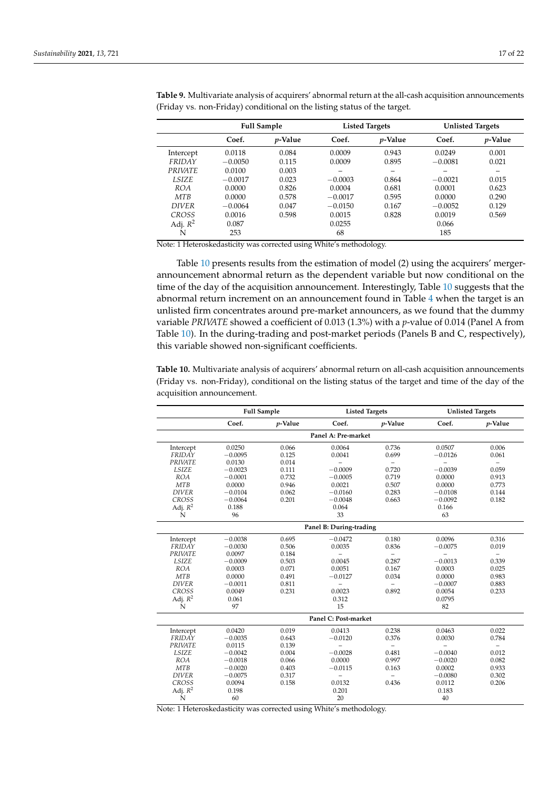|                | <b>Full Sample</b><br><b>Listed Targets</b> |                 |           | <b>Unlisted Targets</b> |           |                 |
|----------------|---------------------------------------------|-----------------|-----------|-------------------------|-----------|-----------------|
|                | Coef.                                       | <i>p</i> -Value | Coef.     | <i>p</i> -Value         | Coef.     | <i>p</i> -Value |
| Intercept      | 0.0118                                      | 0.084           | 0.0009    | 0.943                   | 0.0249    | 0.001           |
| FRIDAY         | $-0.0050$                                   | 0.115           | 0.0009    | 0.895                   | $-0.0081$ | 0.021           |
| <b>PRIVATE</b> | 0.0100                                      | 0.003           |           |                         | -         |                 |
| <b>LSIZE</b>   | $-0.0017$                                   | 0.023           | $-0.0003$ | 0.864                   | $-0.0021$ | 0.015           |
| <b>ROA</b>     | 0.0000                                      | 0.826           | 0.0004    | 0.681                   | 0.0001    | 0.623           |
| <b>MTB</b>     | 0.0000                                      | 0.578           | $-0.0017$ | 0.595                   | 0.0000    | 0.290           |
| <b>DIVER</b>   | $-0.0064$                                   | 0.047           | $-0.0150$ | 0.167                   | $-0.0052$ | 0.129           |
| <b>CROSS</b>   | 0.0016                                      | 0.598           | 0.0015    | 0.828                   | 0.0019    | 0.569           |
| Adj. $R^2$     | 0.087                                       |                 | 0.0255    |                         | 0.066     |                 |
| N              | 253                                         |                 | 68        |                         | 185       |                 |

<span id="page-16-0"></span>**Table 9.** Multivariate analysis of acquirers' abnormal return at the all-cash acquisition announcements (Friday vs. non-Friday) conditional on the listing status of the target.

Note: 1 Heteroskedasticity was corrected using White's methodology.

Table [10](#page-16-1) presents results from the estimation of model (2) using the acquirers' mergerannouncement abnormal return as the dependent variable but now conditional on the time of the day of the acquisition announcement. Interestingly, Table [10](#page-16-1) suggests that the abnormal return increment on an announcement found in Table [4](#page-11-1) when the target is an unlisted firm concentrates around pre-market announcers, as we found that the dummy variable *PRIVATE* showed a coefficient of 0.013 (1.3%) with a *p*-value of 0.014 (Panel A from Table [10\)](#page-16-1). In the during-trading and post-market periods (Panels B and C, respectively), this variable showed non-significant coefficients.

<span id="page-16-1"></span>**Table 10.** Multivariate analysis of acquirers' abnormal return on all-cash acquisition announcements (Friday vs. non-Friday), conditional on the listing status of the target and time of the day of the acquisition announcement.

|                | <b>Full Sample</b>  |            |                         | <b>Listed Targets</b>    |                | <b>Unlisted Targets</b>  |  |  |  |
|----------------|---------------------|------------|-------------------------|--------------------------|----------------|--------------------------|--|--|--|
|                | Coef.               | $p$ -Value | Coef.                   | $p$ -Value               | Coef.          | <i>p</i> -Value          |  |  |  |
|                | Panel A: Pre-market |            |                         |                          |                |                          |  |  |  |
| Intercept      | 0.0250              | 0.066      | 0.0064                  | 0.736                    | 0.0507         | 0.006                    |  |  |  |
| FRIDAY         | $-0.0095$           | 0.125      | 0.0041                  | 0.699                    | $-0.0126$      | 0.061                    |  |  |  |
| <b>PRIVATE</b> | 0.0130              | 0.014      |                         | $\overline{\phantom{0}}$ | $\overline{a}$ | $\overline{\phantom{0}}$ |  |  |  |
| LSIZE          | $-0.0023$           | 0.111      | $-0.0009$               | 0.720                    | $-0.0039$      | 0.059                    |  |  |  |
| <b>ROA</b>     | $-0.0001$           | 0.732      | $-0.0005$               | 0.719                    | 0.0000         | 0.913                    |  |  |  |
| <b>MTB</b>     | 0.0000              | 0.946      | 0.0021                  | 0.507                    | 0.0000         | 0.773                    |  |  |  |
| <b>DIVER</b>   | $-0.0104$           | 0.062      | $-0.0160$               | 0.283                    | $-0.0108$      | 0.144                    |  |  |  |
| <b>CROSS</b>   | $-0.0064$           | 0.201      | $-0.0048$               | 0.663                    | $-0.0092$      | 0.182                    |  |  |  |
| Adj. $R^2$     | 0.188               |            | 0.064                   |                          | 0.166          |                          |  |  |  |
| N              | 96                  |            | 33                      |                          | 63             |                          |  |  |  |
|                |                     |            | Panel B: During-trading |                          |                |                          |  |  |  |
| Intercept      | $-0.0038$           | 0.695      | $-0.0472$               | 0.180                    | 0.0096         | 0.316                    |  |  |  |
| FRIDAY         | $-0.0030$           | 0.506      | 0.0035                  | 0.836                    | $-0.0075$      | 0.019                    |  |  |  |
| <b>PRIVATE</b> | 0.0097              | 0.184      |                         | $\overline{\phantom{0}}$ |                | $\overline{\phantom{a}}$ |  |  |  |
| <b>LSIZE</b>   | $-0.0009$           | 0.503      | 0.0045                  | 0.287                    | $-0.0013$      | 0.339                    |  |  |  |
| <b>ROA</b>     | 0.0003              | 0.071      | 0.0051                  | 0.167                    | 0.0003         | 0.025                    |  |  |  |
| <b>MTB</b>     | 0.0000              | 0.491      | $-0.0127$               | 0.034                    | 0.0000         | 0.983                    |  |  |  |
| <b>DIVER</b>   | $-0.0011$           | 0.811      | $\overline{a}$          | $\equiv$                 | $-0.0007$      | 0.883                    |  |  |  |
| <b>CROSS</b>   | 0.0049              | 0.231      | 0.0023                  | 0.892                    | 0.0054         | 0.233                    |  |  |  |
| Adj. $R^2$     | 0.061               |            | 0.312                   |                          | 0.0795         |                          |  |  |  |
| N              | 97                  |            | 15                      |                          | 82             |                          |  |  |  |
|                |                     |            | Panel C: Post-market    |                          |                |                          |  |  |  |
| Intercept      | 0.0420              | 0.019      | 0.0413                  | 0.238                    | 0.0463         | 0.022                    |  |  |  |
| FRIDAY         | $-0.0035$           | 0.643      | $-0.0120$               | 0.376                    | 0.0030         | 0.784                    |  |  |  |
| <b>PRIVATE</b> | 0.0115              | 0.139      | L.                      | $\equiv$                 | $\equiv$       | $-$                      |  |  |  |
| <b>LSIZE</b>   | $-0.0042$           | 0.004      | $-0.0028$               | 0.481                    | $-0.0040$      | 0.012                    |  |  |  |
| <b>ROA</b>     | $-0.0018$           | 0.066      | 0.0000                  | 0.997                    | $-0.0020$      | 0.082                    |  |  |  |
| MTB            | $-0.0020$           | 0.403      | $-0.0115$               | 0.163                    | 0.0002         | 0.933                    |  |  |  |
| <b>DIVER</b>   | $-0.0075$           | 0.317      | $\overline{a}$          | $\equiv$                 | $-0.0080$      | 0.302                    |  |  |  |
| <b>CROSS</b>   | 0.0094              | 0.158      | 0.0132                  | 0.436                    | 0.0112         | 0.206                    |  |  |  |
| Adj. $R^2$     | 0.198               |            | 0.201                   |                          | 0.183          |                          |  |  |  |
| N              | 60                  |            | 20                      |                          | 40             |                          |  |  |  |

Note: 1 Heteroskedasticity was corrected using White's methodology.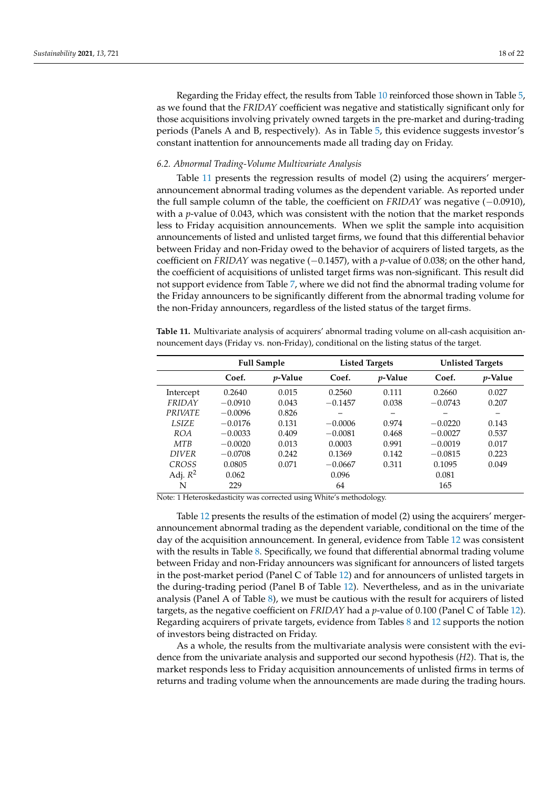Regarding the Friday effect, the results from Table [10](#page-16-1) reinforced those shown in Table [5,](#page-12-0) as we found that the *FRIDAY* coefficient was negative and statistically significant only for those acquisitions involving privately owned targets in the pre-market and during-trading periods (Panels A and B, respectively). As in Table [5,](#page-12-0) this evidence suggests investor's constant inattention for announcements made all trading day on Friday.

## *6.2. Abnormal Trading-Volume Multivariate Analysis*

Table [11](#page-17-0) presents the regression results of model (2) using the acquirers' mergerannouncement abnormal trading volumes as the dependent variable. As reported under the full sample column of the table, the coefficient on *FRIDAY* was negative (−0.0910), with a *p*-value of 0.043, which was consistent with the notion that the market responds less to Friday acquisition announcements. When we split the sample into acquisition announcements of listed and unlisted target firms, we found that this differential behavior between Friday and non-Friday owed to the behavior of acquirers of listed targets, as the coefficient on *FRIDAY* was negative (−0.1457), with a *p*-value of 0.038; on the other hand, the coefficient of acquisitions of unlisted target firms was non-significant. This result did not support evidence from Table [7,](#page-14-0) where we did not find the abnormal trading volume for the Friday announcers to be significantly different from the abnormal trading volume for the non-Friday announcers, regardless of the listed status of the target firms.

<span id="page-17-0"></span>**Table 11.** Multivariate analysis of acquirers' abnormal trading volume on all-cash acquisition announcement days (Friday vs. non-Friday), conditional on the listing status of the target.

|                |           | <b>Full Sample</b> |           | <b>Listed Targets</b> | <b>Unlisted Targets</b> |                 |
|----------------|-----------|--------------------|-----------|-----------------------|-------------------------|-----------------|
|                | Coef.     | <i>p</i> -Value    | Coef.     | <i>p</i> -Value       | Coef.                   | <i>p</i> -Value |
| Intercept      | 0.2640    | 0.015              | 0.2560    | 0.111                 | 0.2660                  | 0.027           |
| FRIDAY         | $-0.0910$ | 0.043              | $-0.1457$ | 0.038                 | $-0.0743$               | 0.207           |
| <b>PRIVATE</b> | $-0.0096$ | 0.826              |           |                       |                         |                 |
| <b>LSIZE</b>   | $-0.0176$ | 0.131              | $-0.0006$ | 0.974                 | $-0.0220$               | 0.143           |
| <b>ROA</b>     | $-0.0033$ | 0.409              | $-0.0081$ | 0.468                 | $-0.0027$               | 0.537           |
| MTR            | $-0.0020$ | 0.013              | 0.0003    | 0.991                 | $-0.0019$               | 0.017           |
| <b>DIVER</b>   | $-0.0708$ | 0.242              | 0.1369    | 0.142                 | $-0.0815$               | 0.223           |
| <b>CROSS</b>   | 0.0805    | 0.071              | $-0.0667$ | 0.311                 | 0.1095                  | 0.049           |
| Adj. $R^2$     | 0.062     |                    | 0.096     |                       | 0.081                   |                 |
| N              | 229       |                    | 64        |                       | 165                     |                 |

Note: 1 Heteroskedasticity was corrected using White's methodology.

Table [12](#page-18-1) presents the results of the estimation of model (2) using the acquirers' mergerannouncement abnormal trading as the dependent variable, conditional on the time of the day of the acquisition announcement. In general, evidence from Table [12](#page-18-1) was consistent with the results in Table [8.](#page-15-1) Specifically, we found that differential abnormal trading volume between Friday and non-Friday announcers was significant for announcers of listed targets in the post-market period (Panel C of Table [12\)](#page-18-1) and for announcers of unlisted targets in the during-trading period (Panel B of Table [12\)](#page-18-1). Nevertheless, and as in the univariate analysis (Panel A of Table [8\)](#page-15-1), we must be cautious with the result for acquirers of listed targets, as the negative coefficient on *FRIDAY* had a *p*-value of 0.100 (Panel C of Table [12\)](#page-18-1). Regarding acquirers of private targets, evidence from Tables [8](#page-15-1) and [12](#page-18-1) supports the notion of investors being distracted on Friday.

As a whole, the results from the multivariate analysis were consistent with the evidence from the univariate analysis and supported our second hypothesis (*H2*). That is, the market responds less to Friday acquisition announcements of unlisted firms in terms of returns and trading volume when the announcements are made during the trading hours.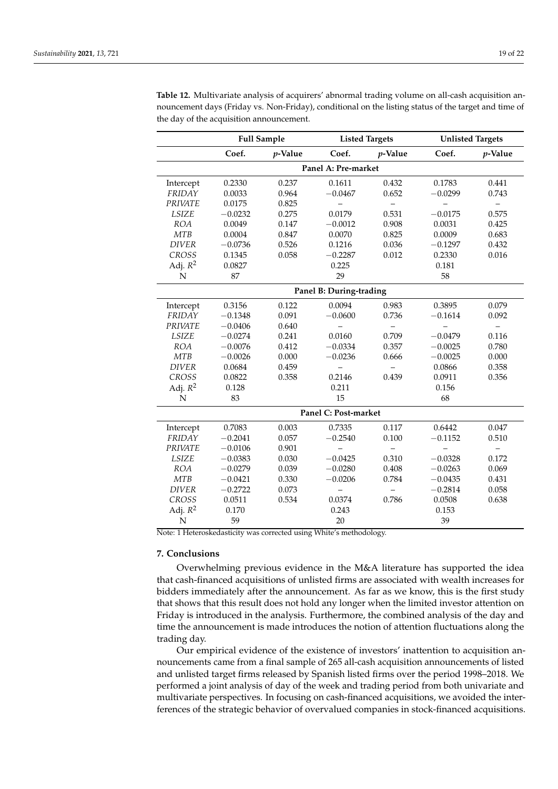|                | <b>Full Sample</b> |            | <b>Listed Targets</b>    |            | <b>Unlisted Targets</b> |            |
|----------------|--------------------|------------|--------------------------|------------|-------------------------|------------|
|                | Coef.              | $p$ -Value | Coef.                    | $p$ -Value | Coef.                   | $p$ -Value |
|                |                    |            | Panel A: Pre-market      |            |                         |            |
| Intercept      | 0.2330             | 0.237      | 0.1611                   | 0.432      | 0.1783                  | 0.441      |
| FRIDAY         | 0.0033             | 0.964      | $-0.0467$                | 0.652      | $-0.0299$               | 0.743      |
| <b>PRIVATE</b> | 0.0175             | 0.825      |                          |            |                         |            |
| <b>LSIZE</b>   | $-0.0232$          | 0.275      | 0.0179                   | 0.531      | $-0.0175$               | 0.575      |
| <b>ROA</b>     | 0.0049             | 0.147      | $-0.0012$                | 0.908      | 0.0031                  | 0.425      |
| <b>MTB</b>     | 0.0004             | 0.847      | 0.0070                   | 0.825      | 0.0009                  | 0.683      |
| <b>DIVER</b>   | $-0.0736$          | 0.526      | 0.1216                   | 0.036      | $-0.1297$               | 0.432      |
| <b>CROSS</b>   | 0.1345             | 0.058      | $-0.2287$                | 0.012      | 0.2330                  | 0.016      |
| Adj. $R^2$     | 0.0827             |            | 0.225                    |            | 0.181                   |            |
| N              | 87                 |            | 29                       |            | 58                      |            |
|                |                    |            | Panel B: During-trading  |            |                         |            |
| Intercept      | 0.3156             | 0.122      | 0.0094                   | 0.983      | 0.3895                  | 0.079      |
| FRIDAY         | $-0.1348$          | 0.091      | $-0.0600$                | 0.736      | $-0.1614$               | 0.092      |
| <b>PRIVATE</b> | $-0.0406$          | 0.640      |                          |            |                         |            |
| <b>LSIZE</b>   | $-0.0274$          | 0.241      | 0.0160                   | 0.709      | $-0.0479$               | 0.116      |
| <b>ROA</b>     | $-0.0076$          | 0.412      | $-0.0334$                | 0.357      | $-0.0025$               | 0.780      |
| <b>MTB</b>     | $-0.0026$          | 0.000      | $-0.0236$                | 0.666      | $-0.0025$               | 0.000      |
| <b>DIVER</b>   | 0.0684             | 0.459      | $\overline{\phantom{0}}$ |            | 0.0866                  | 0.358      |
| <b>CROSS</b>   | 0.0822             | 0.358      | 0.2146                   | 0.439      | 0.0911                  | 0.356      |
| Adj. $R^2$     | 0.128              |            | 0.211                    |            | 0.156                   |            |
| N              | 83                 |            | 15                       |            | 68                      |            |
|                |                    |            | Panel C: Post-market     |            |                         |            |
| Intercept      | 0.7083             | 0.003      | 0.7335                   | 0.117      | 0.6442                  | 0.047      |
| FRIDAY         | $-0.2041$          | 0.057      | $-0.2540$                | 0.100      | $-0.1152$               | 0.510      |
| <b>PRIVATE</b> | $-0.0106$          | 0.901      |                          |            |                         |            |
| <b>LSIZE</b>   | $-0.0383$          | 0.030      | $-0.0425$                | 0.310      | $-0.0328$               | 0.172      |
| <b>ROA</b>     | $-0.0279$          | 0.039      | $-0.0280$                | 0.408      | $-0.0263$               | 0.069      |
| MTB            | $-0.0421$          | 0.330      | $-0.0206$                | 0.784      | $-0.0435$               | 0.431      |
| <b>DIVER</b>   | $-0.2722$          | 0.073      |                          |            | $-0.2814$               | 0.058      |
| <b>CROSS</b>   | 0.0511             | 0.534      | 0.0374                   | 0.786      | 0.0508                  | 0.638      |
| Adj. $R^2$     | 0.170              |            | 0.243                    |            | 0.153                   |            |
| N              | 59                 |            | 20                       |            | 39                      |            |

<span id="page-18-1"></span>**Table 12.** Multivariate analysis of acquirers' abnormal trading volume on all-cash acquisition announcement days (Friday vs. Non-Friday), conditional on the listing status of the target and time of the day of the acquisition announcement.

Note: 1 Heteroskedasticity was corrected using White's methodology.

# <span id="page-18-0"></span>**7. Conclusions**

Overwhelming previous evidence in the M&A literature has supported the idea that cash-financed acquisitions of unlisted firms are associated with wealth increases for bidders immediately after the announcement. As far as we know, this is the first study that shows that this result does not hold any longer when the limited investor attention on Friday is introduced in the analysis. Furthermore, the combined analysis of the day and time the announcement is made introduces the notion of attention fluctuations along the trading day.

Our empirical evidence of the existence of investors' inattention to acquisition announcements came from a final sample of 265 all-cash acquisition announcements of listed and unlisted target firms released by Spanish listed firms over the period 1998–2018. We performed a joint analysis of day of the week and trading period from both univariate and multivariate perspectives. In focusing on cash-financed acquisitions, we avoided the interferences of the strategic behavior of overvalued companies in stock-financed acquisitions.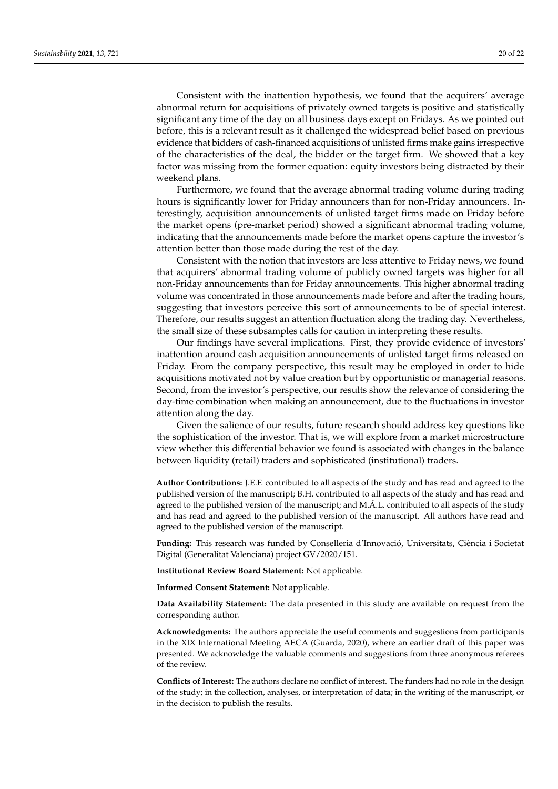Consistent with the inattention hypothesis, we found that the acquirers' average abnormal return for acquisitions of privately owned targets is positive and statistically significant any time of the day on all business days except on Fridays. As we pointed out before, this is a relevant result as it challenged the widespread belief based on previous evidence that bidders of cash-financed acquisitions of unlisted firms make gains irrespective of the characteristics of the deal, the bidder or the target firm. We showed that a key factor was missing from the former equation: equity investors being distracted by their weekend plans.

Furthermore, we found that the average abnormal trading volume during trading hours is significantly lower for Friday announcers than for non-Friday announcers. Interestingly, acquisition announcements of unlisted target firms made on Friday before the market opens (pre-market period) showed a significant abnormal trading volume, indicating that the announcements made before the market opens capture the investor's attention better than those made during the rest of the day.

Consistent with the notion that investors are less attentive to Friday news, we found that acquirers' abnormal trading volume of publicly owned targets was higher for all non-Friday announcements than for Friday announcements. This higher abnormal trading volume was concentrated in those announcements made before and after the trading hours, suggesting that investors perceive this sort of announcements to be of special interest. Therefore, our results suggest an attention fluctuation along the trading day. Nevertheless, the small size of these subsamples calls for caution in interpreting these results.

Our findings have several implications. First, they provide evidence of investors' inattention around cash acquisition announcements of unlisted target firms released on Friday. From the company perspective, this result may be employed in order to hide acquisitions motivated not by value creation but by opportunistic or managerial reasons. Second, from the investor's perspective, our results show the relevance of considering the day-time combination when making an announcement, due to the fluctuations in investor attention along the day.

Given the salience of our results, future research should address key questions like the sophistication of the investor. That is, we will explore from a market microstructure view whether this differential behavior we found is associated with changes in the balance between liquidity (retail) traders and sophisticated (institutional) traders.

**Author Contributions:** J.E.F. contributed to all aspects of the study and has read and agreed to the published version of the manuscript; B.H. contributed to all aspects of the study and has read and agreed to the published version of the manuscript; and M.Á.L. contributed to all aspects of the study and has read and agreed to the published version of the manuscript. All authors have read and agreed to the published version of the manuscript.

**Funding:** This research was funded by Conselleria d'Innovació, Universitats, Ciència i Societat Digital (Generalitat Valenciana) project GV/2020/151.

**Institutional Review Board Statement:** Not applicable.

**Informed Consent Statement:** Not applicable.

**Data Availability Statement:** The data presented in this study are available on request from the corresponding author.

**Acknowledgments:** The authors appreciate the useful comments and suggestions from participants in the XIX International Meeting AECA (Guarda, 2020), where an earlier draft of this paper was presented. We acknowledge the valuable comments and suggestions from three anonymous referees of the review.

**Conflicts of Interest:** The authors declare no conflict of interest. The funders had no role in the design of the study; in the collection, analyses, or interpretation of data; in the writing of the manuscript, or in the decision to publish the results.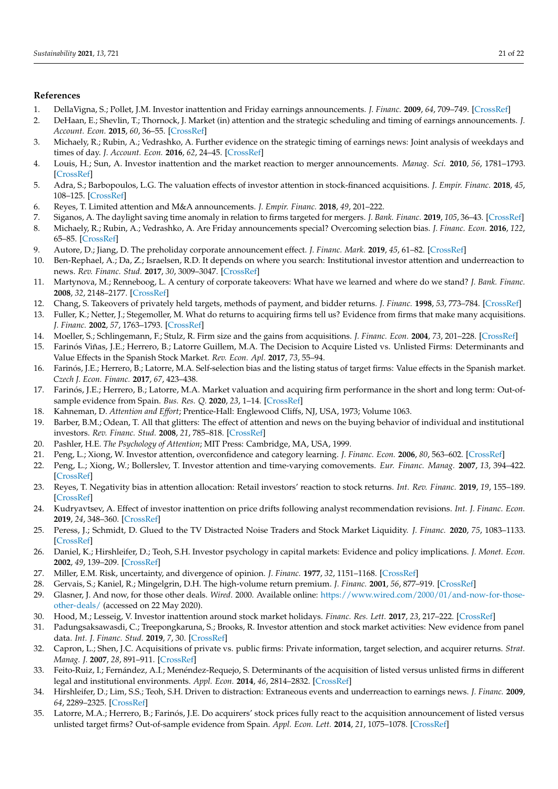## **References**

- <span id="page-20-0"></span>1. DellaVigna, S.; Pollet, J.M. Investor inattention and Friday earnings announcements. *J. Financ.* **2009**, *64*, 709–749. [\[CrossRef\]](http://doi.org/10.1111/j.1540-6261.2009.01447.x)
- <span id="page-20-22"></span>2. DeHaan, E.; Shevlin, T.; Thornock, J. Market (in) attention and the strategic scheduling and timing of earnings announcements. *J. Account. Econ.* **2015**, *60*, 36–55. [\[CrossRef\]](http://doi.org/10.1016/j.jacceco.2015.03.003)
- <span id="page-20-1"></span>3. Michaely, R.; Rubin, A.; Vedrashko, A. Further evidence on the strategic timing of earnings news: Joint analysis of weekdays and times of day. *J. Account. Econ.* **2016**, *62*, 24–45. [\[CrossRef\]](http://doi.org/10.1016/j.jacceco.2016.04.002)
- <span id="page-20-2"></span>4. Louis, H.; Sun, A. Investor inattention and the market reaction to merger announcements. *Manag. Sci.* **2010**, *56*, 1781–1793. [\[CrossRef\]](http://doi.org/10.1287/mnsc.1100.1212)
- <span id="page-20-12"></span>5. Adra, S.; Barbopoulos, L.G. The valuation effects of investor attention in stock-financed acquisitions. *J. Empir. Financ.* **2018**, *45*, 108–125. [\[CrossRef\]](http://doi.org/10.1016/j.jempfin.2017.10.001)
- <span id="page-20-27"></span>6. Reyes, T. Limited attention and M&A announcements. *J. Empir. Financ.* **2018**, *49*, 201–222.
- <span id="page-20-3"></span>7. Siganos, A. The daylight saving time anomaly in relation to firms targeted for mergers. *J. Bank. Financ.* **2019**, *105*, 36–43. [\[CrossRef\]](http://doi.org/10.1016/j.jbankfin.2019.05.014)
- <span id="page-20-4"></span>8. Michaely, R.; Rubin, A.; Vedrashko, A. Are Friday announcements special? Overcoming selection bias. *J. Financ. Econ.* **2016**, *122*, 65–85. [\[CrossRef\]](http://doi.org/10.1016/j.jfineco.2016.05.006)
- <span id="page-20-5"></span>9. Autore, D.; Jiang, D. The preholiday corporate announcement effect. *J. Financ. Mark.* **2019**, *45*, 61–82. [\[CrossRef\]](http://doi.org/10.1016/j.finmar.2019.06.004)
- <span id="page-20-6"></span>10. Ben-Rephael, A.; Da, Z.; Israelsen, R.D. It depends on where you search: Institutional investor attention and underreaction to news. *Rev. Financ. Stud.* **2017**, *30*, 3009–3047. [\[CrossRef\]](http://doi.org/10.1093/rfs/hhx031)
- <span id="page-20-7"></span>11. Martynova, M.; Renneboog, L. A century of corporate takeovers: What have we learned and where do we stand? *J. Bank. Financ.* **2008**, *32*, 2148–2177. [\[CrossRef\]](http://doi.org/10.1016/j.jbankfin.2007.12.038)
- <span id="page-20-8"></span>12. Chang, S. Takeovers of privately held targets, methods of payment, and bidder returns. *J. Financ.* **1998**, *53*, 773–784. [\[CrossRef\]](http://doi.org/10.1111/0022-1082.315138)
- 13. Fuller, K.; Netter, J.; Stegemoller, M. What do returns to acquiring firms tell us? Evidence from firms that make many acquisitions. *J. Financ.* **2002**, *57*, 1763–1793. [\[CrossRef\]](http://doi.org/10.1111/1540-6261.00477)
- <span id="page-20-9"></span>14. Moeller, S.; Schlingemann, F.; Stulz, R. Firm size and the gains from acquisitions. *J. Financ. Econ.* **2004**, *73*, 201–228. [\[CrossRef\]](http://doi.org/10.1016/j.jfineco.2003.07.002)
- <span id="page-20-10"></span>15. Farinós Viñas, J.E.; Herrero, B.; Latorre Guillem, M.A. The Decision to Acquire Listed vs. Unlisted Firms: Determinants and Value Effects in the Spanish Stock Market. *Rev. Econ. Apl.* **2017**, *73*, 55–94.
- 16. Farinós, J.E.; Herrero, B.; Latorre, M.A. Self-selection bias and the listing status of target firms: Value effects in the Spanish market. *Czech J. Econ. Financ.* **2017**, *67*, 423–438.
- <span id="page-20-11"></span>17. Farinós, J.E.; Herrero, B.; Latorre, M.A. Market valuation and acquiring firm performance in the short and long term: Out-ofsample evidence from Spain. *Bus. Res. Q.* **2020**, *23*, 1–14. [\[CrossRef\]](http://doi.org/10.1177/2340944420901048)
- <span id="page-20-13"></span>18. Kahneman, D. *Attention and Effort*; Prentice-Hall: Englewood Cliffs, NJ, USA, 1973; Volume 1063.
- <span id="page-20-14"></span>19. Barber, B.M.; Odean, T. All that glitters: The effect of attention and news on the buying behavior of individual and institutional investors. *Rev. Financ. Stud.* **2008**, *21*, 785–818. [\[CrossRef\]](http://doi.org/10.1093/rfs/hhm079)
- <span id="page-20-15"></span>20. Pashler, H.E. *The Psychology of Attention*; MIT Press: Cambridge, MA, USA, 1999.
- <span id="page-20-16"></span>21. Peng, L.; Xiong, W. Investor attention, overconfidence and category learning. *J. Financ. Econ.* **2006**, *80*, 563–602. [\[CrossRef\]](http://doi.org/10.1016/j.jfineco.2005.05.003)
- <span id="page-20-17"></span>22. Peng, L.; Xiong, W.; Bollerslev, T. Investor attention and time-varying comovements. *Eur. Financ. Manag.* **2007**, *13*, 394–422. [\[CrossRef\]](http://doi.org/10.1111/j.1468-036X.2007.00366.x)
- <span id="page-20-18"></span>23. Reyes, T. Negativity bias in attention allocation: Retail investors' reaction to stock returns. *Int. Rev. Financ.* **2019**, *19*, 155–189. [\[CrossRef\]](http://doi.org/10.1111/irfi.12180)
- <span id="page-20-19"></span>24. Kudryavtsev, A. Effect of investor inattention on price drifts following analyst recommendation revisions. *Int. J. Financ. Econ.* **2019**, *24*, 348–360. [\[CrossRef\]](http://doi.org/10.1002/ijfe.1666)
- <span id="page-20-20"></span>25. Peress, J.; Schmidt, D. Glued to the TV Distracted Noise Traders and Stock Market Liquidity. *J. Financ.* **2020**, *75*, 1083–1133. [\[CrossRef\]](http://doi.org/10.1111/jofi.12863)
- <span id="page-20-21"></span>26. Daniel, K.; Hirshleifer, D.; Teoh, S.H. Investor psychology in capital markets: Evidence and policy implications. *J. Monet. Econ.* **2002**, *49*, 139–209. [\[CrossRef\]](http://doi.org/10.1016/S0304-3932(01)00091-5)
- <span id="page-20-23"></span>27. Miller, E.M. Risk, uncertainty, and divergence of opinion. *J. Financ.* **1977**, *32*, 1151–1168. [\[CrossRef\]](http://doi.org/10.1111/j.1540-6261.1977.tb03317.x)
- <span id="page-20-24"></span>28. Gervais, S.; Kaniel, R.; Mingelgrin, D.H. The high-volume return premium. *J. Financ.* **2001**, *56*, 877–919. [\[CrossRef\]](http://doi.org/10.1111/0022-1082.00349)
- <span id="page-20-25"></span>29. Glasner, J. And now, for those other deals. *Wired*. 2000. Available online: [https://www.wired.com/2000/01/and-now-for-those](https://www.wired.com/2000/01/and-now-for-those-other-deals/)[other-deals/](https://www.wired.com/2000/01/and-now-for-those-other-deals/) (accessed on 22 May 2020).
- <span id="page-20-26"></span>30. Hood, M.; Lesseig, V. Investor inattention around stock market holidays. *Financ. Res. Lett.* **2017**, *23*, 217–222. [\[CrossRef\]](http://doi.org/10.1016/j.frl.2017.07.015)
- <span id="page-20-28"></span>31. Padungsaksawasdi, C.; Treepongkaruna, S.; Brooks, R. Investor attention and stock market activities: New evidence from panel data. *Int. J. Financ. Stud.* **2019**, *7*, 30. [\[CrossRef\]](http://doi.org/10.3390/ijfs7020030)
- <span id="page-20-29"></span>32. Capron, L.; Shen, J.C. Acquisitions of private vs. public firms: Private information, target selection, and acquirer returns. *Strat. Manag. J.* **2007**, *28*, 891–911. [\[CrossRef\]](http://doi.org/10.1002/smj.612)
- <span id="page-20-30"></span>33. Feito-Ruiz, I.; Fernández, A.I.; Menéndez-Requejo, S. Determinants of the acquisition of listed versus unlisted firms in different legal and institutional environments. *Appl. Econ.* **2014**, *46*, 2814–2832. [\[CrossRef\]](http://doi.org/10.1080/00036846.2014.914146)
- <span id="page-20-31"></span>34. Hirshleifer, D.; Lim, S.S.; Teoh, S.H. Driven to distraction: Extraneous events and underreaction to earnings news. *J. Financ.* **2009**, *64*, 2289–2325. [\[CrossRef\]](http://doi.org/10.1111/j.1540-6261.2009.01501.x)
- <span id="page-20-32"></span>35. Latorre, M.A.; Herrero, B.; Farinós, J.E. Do acquirers' stock prices fully react to the acquisition announcement of listed versus unlisted target firms? Out-of-sample evidence from Spain. *Appl. Econ. Lett.* **2014**, *21*, 1075–1078. [\[CrossRef\]](http://doi.org/10.1080/13504851.2014.909566)